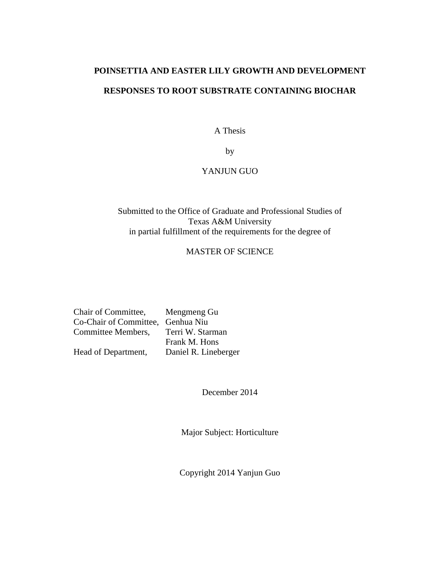# <span id="page-0-0"></span>**POINSETTIA AND EASTER LILY GROWTH AND DEVELOPMENT RESPONSES TO ROOT SUBSTRATE CONTAINING BIOCHAR**

A Thesis

by

# YANJUN GUO

# Submitted to the Office of Graduate and Professional Studies of Texas A&M University in partial fulfillment of the requirements for the degree of

# MASTER OF SCIENCE

| Chair of Committee,               | Mengmeng Gu          |
|-----------------------------------|----------------------|
| Co-Chair of Committee, Genhua Niu |                      |
| Committee Members,                | Terri W. Starman     |
|                                   | Frank M. Hons        |
| Head of Department,               | Daniel R. Lineberger |

December 2014

Major Subject: Horticulture

Copyright 2014 Yanjun Guo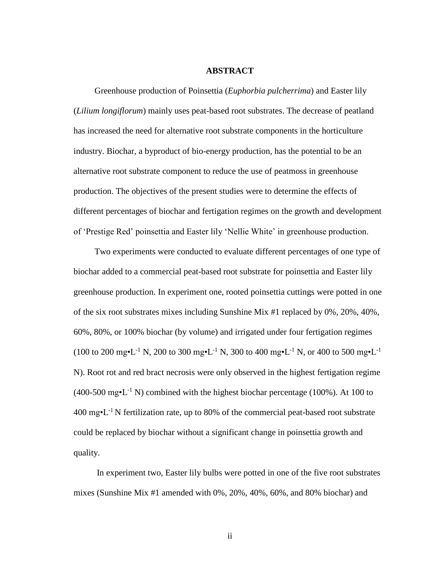#### **ABSTRACT**

<span id="page-1-0"></span>Greenhouse production of Poinsettia (*Euphorbia pulcherrima*) and Easter lily (*Lilium longiflorum*) mainly uses peat-based root substrates. The decrease of peatland has increased the need for alternative root substrate components in the horticulture industry. Biochar, a byproduct of bio-energy production, has the potential to be an alternative root substrate component to reduce the use of peatmoss in greenhouse production. The objectives of the present studies were to determine the effects of different percentages of biochar and fertigation regimes on the growth and development of 'Prestige Red' poinsettia and Easter lily 'Nellie White' in greenhouse production.

Two experiments were conducted to evaluate different percentages of one type of biochar added to a commercial peat-based root substrate for poinsettia and Easter lily greenhouse production. In experiment one, rooted poinsettia cuttings were potted in one of the six root substrates mixes including Sunshine Mix #1 replaced by 0%, 20%, 40%, 60%, 80%, or 100% biochar (by volume) and irrigated under four fertigation regimes  $(100 \text{ to } 200 \text{ mg} \cdot \text{L}^{-1} \text{ N}, 200 \text{ to } 300 \text{ mg} \cdot \text{L}^{-1} \text{ N}, 300 \text{ to } 400 \text{ mg} \cdot \text{L}^{-1} \text{ N}, \text{ or } 400 \text{ to } 500 \text{ mg} \cdot \text{L}^{-1}$ N). Root rot and red bract necrosis were only observed in the highest fertigation regime  $(400-500 \text{ mg} \cdot \text{L}^{-1} \text{ N})$  combined with the highest biochar percentage (100%). At 100 to  $400 \text{ mg} \cdot L^{-1}$  N fertilization rate, up to 80% of the commercial peat-based root substrate could be replaced by biochar without a significant change in poinsettia growth and quality.

In experiment two, Easter lily bulbs were potted in one of the five root substrates mixes (Sunshine Mix #1 amended with 0%, 20%, 40%, 60%, and 80% biochar) and

ii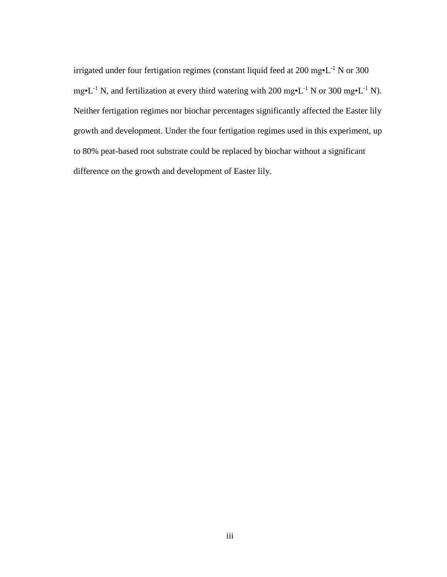irrigated under four fertigation regimes (constant liquid feed at 200 mg•L-1 N or 300 mg•L<sup>-1</sup> N, and fertilization at every third watering with 200 mg•L<sup>-1</sup> N or 300 mg•L<sup>-1</sup> N). Neither fertigation regimes nor biochar percentages significantly affected the Easter lily growth and development. Under the four fertigation regimes used in this experiment, up to 80% peat-based root substrate could be replaced by biochar without a significant difference on the growth and development of Easter lily.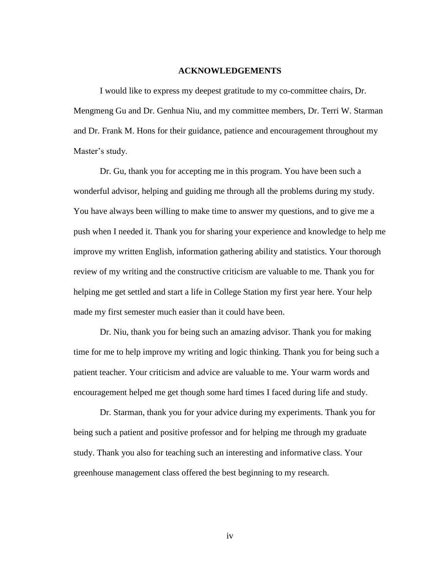## **ACKNOWLEDGEMENTS**

<span id="page-3-0"></span>I would like to express my deepest gratitude to my co-committee chairs, Dr. Mengmeng Gu and Dr. Genhua Niu, and my committee members, Dr. Terri W. Starman and Dr. Frank M. Hons for their guidance, patience and encouragement throughout my Master's study.

Dr. Gu, thank you for accepting me in this program. You have been such a wonderful advisor, helping and guiding me through all the problems during my study. You have always been willing to make time to answer my questions, and to give me a push when I needed it. Thank you for sharing your experience and knowledge to help me improve my written English, information gathering ability and statistics. Your thorough review of my writing and the constructive criticism are valuable to me. Thank you for helping me get settled and start a life in College Station my first year here. Your help made my first semester much easier than it could have been.

Dr. Niu, thank you for being such an amazing advisor. Thank you for making time for me to help improve my writing and logic thinking. Thank you for being such a patient teacher. Your criticism and advice are valuable to me. Your warm words and encouragement helped me get though some hard times I faced during life and study.

Dr. Starman, thank you for your advice during my experiments. Thank you for being such a patient and positive professor and for helping me through my graduate study. Thank you also for teaching such an interesting and informative class. Your greenhouse management class offered the best beginning to my research.

iv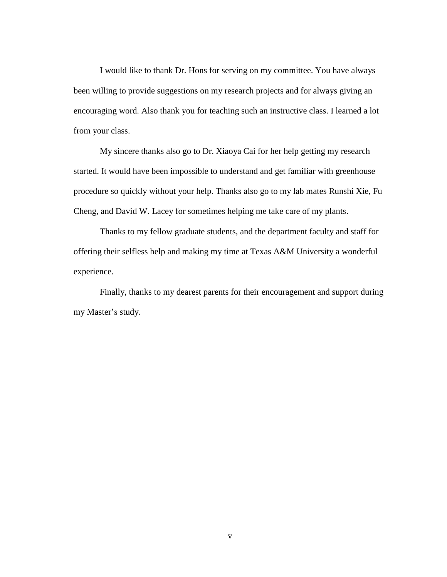I would like to thank Dr. Hons for serving on my committee. You have always been willing to provide suggestions on my research projects and for always giving an encouraging word. Also thank you for teaching such an instructive class. I learned a lot from your class.

My sincere thanks also go to Dr. Xiaoya Cai for her help getting my research started. It would have been impossible to understand and get familiar with greenhouse procedure so quickly without your help. Thanks also go to my lab mates Runshi Xie, Fu Cheng, and David W. Lacey for sometimes helping me take care of my plants.

Thanks to my fellow graduate students, and the department faculty and staff for offering their selfless help and making my time at Texas A&M University a wonderful experience.

Finally, thanks to my dearest parents for their encouragement and support during my Master's study.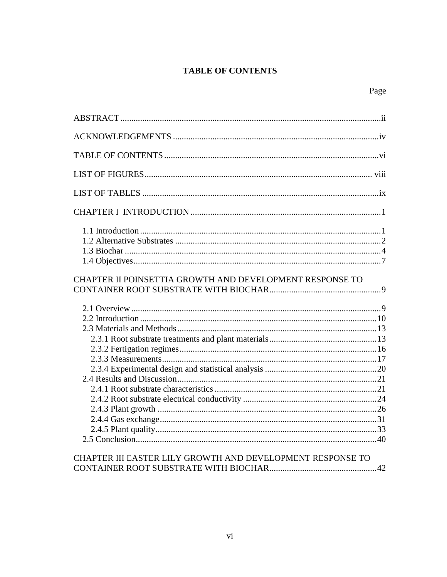# **TABLE OF CONTENTS**

<span id="page-5-0"></span>

| CHAPTER II POINSETTIA GROWTH AND DEVELOPMENT RESPONSE TO                                                    |
|-------------------------------------------------------------------------------------------------------------|
|                                                                                                             |
| CHAPTER III EASTER LILY GROWTH AND DEVELOPMENT RESPONSE TO<br>CONTAINER ROOT SUBSTRATE WITH BIOCHAR.<br>.42 |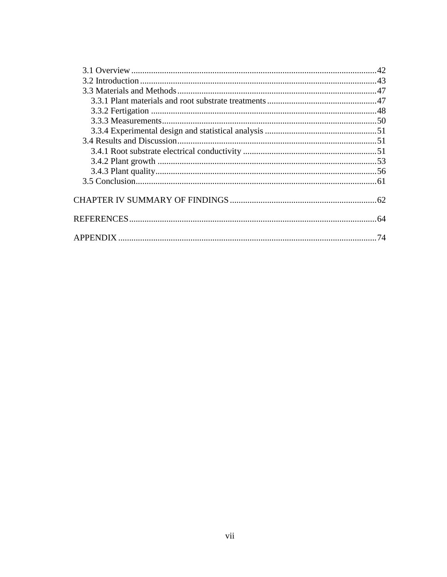| 74 |
|----|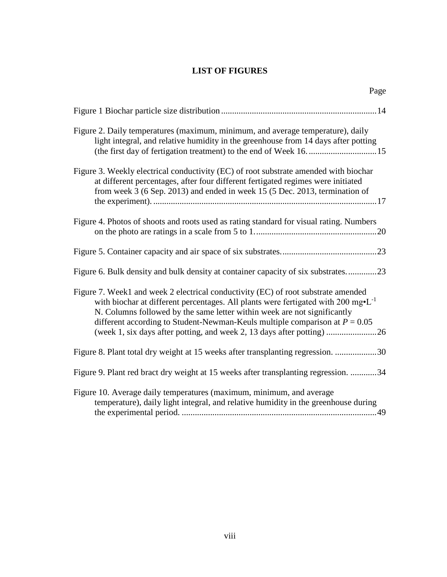# **LIST OF FIGURES**

<span id="page-7-0"></span>

| Figure 2. Daily temperatures (maximum, minimum, and average temperature), daily<br>light integral, and relative humidity in the greenhouse from 14 days after potting                                                                                                                                                                                  |
|--------------------------------------------------------------------------------------------------------------------------------------------------------------------------------------------------------------------------------------------------------------------------------------------------------------------------------------------------------|
| Figure 3. Weekly electrical conductivity (EC) of root substrate amended with biochar<br>at different percentages, after four different fertigated regimes were initiated<br>from week 3 (6 Sep. 2013) and ended in week 15 (5 Dec. 2013, termination of                                                                                                |
| Figure 4. Photos of shoots and roots used as rating standard for visual rating. Numbers                                                                                                                                                                                                                                                                |
|                                                                                                                                                                                                                                                                                                                                                        |
| Figure 6. Bulk density and bulk density at container capacity of six substrates23                                                                                                                                                                                                                                                                      |
| Figure 7. Week1 and week 2 electrical conductivity (EC) of root substrate amended<br>with biochar at different percentages. All plants were fertigated with $200 \text{ mg} \cdot L^{-1}$<br>N. Columns followed by the same letter within week are not significantly<br>different according to Student-Newman-Keuls multiple comparison at $P = 0.05$ |
| Figure 8. Plant total dry weight at 15 weeks after transplanting regression. 30                                                                                                                                                                                                                                                                        |
| Figure 9. Plant red bract dry weight at 15 weeks after transplanting regression. 34                                                                                                                                                                                                                                                                    |
| Figure 10. Average daily temperatures (maximum, minimum, and average<br>temperature), daily light integral, and relative humidity in the greenhouse during                                                                                                                                                                                             |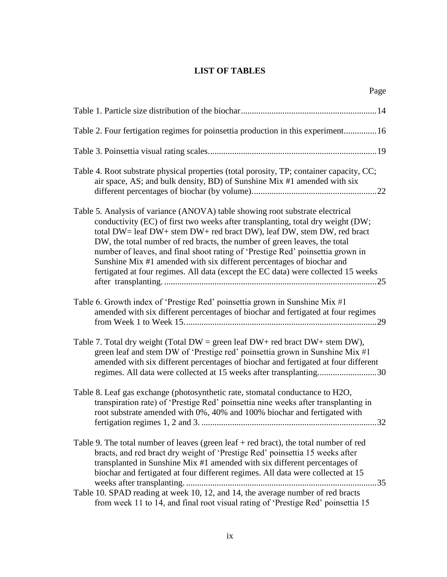# **LIST OF TABLES**

<span id="page-8-0"></span>Page **Page** 

| Table 2. Four fertigation regimes for poinsettia production in this experiment16                                                                                                                                                                                                                                                                                                                                                                                                                                                                                        |
|-------------------------------------------------------------------------------------------------------------------------------------------------------------------------------------------------------------------------------------------------------------------------------------------------------------------------------------------------------------------------------------------------------------------------------------------------------------------------------------------------------------------------------------------------------------------------|
|                                                                                                                                                                                                                                                                                                                                                                                                                                                                                                                                                                         |
| Table 4. Root substrate physical properties (total porosity, TP; container capacity, CC;<br>air space, AS; and bulk density, BD) of Sunshine Mix #1 amended with six                                                                                                                                                                                                                                                                                                                                                                                                    |
| Table 5. Analysis of variance (ANOVA) table showing root substrate electrical<br>conductivity (EC) of first two weeks after transplanting, total dry weight (DW;<br>total DW= leaf DW+ stem DW+ red bract DW), leaf DW, stem DW, red bract<br>DW, the total number of red bracts, the number of green leaves, the total<br>number of leaves, and final shoot rating of 'Prestige Red' poinsettia grown in<br>Sunshine Mix #1 amended with six different percentages of biochar and<br>fertigated at four regimes. All data (except the EC data) were collected 15 weeks |
| Table 6. Growth index of 'Prestige Red' poinsettia grown in Sunshine Mix #1<br>amended with six different percentages of biochar and fertigated at four regimes                                                                                                                                                                                                                                                                                                                                                                                                         |
| Table 7. Total dry weight (Total DW = green leaf DW+ red bract DW+ stem DW),<br>green leaf and stem DW of 'Prestige red' poinsettia grown in Sunshine Mix #1<br>amended with six different percentages of biochar and fertigated at four different<br>regimes. All data were collected at 15 weeks after transplanting30                                                                                                                                                                                                                                                |
| Table 8. Leaf gas exchange (photosynthetic rate, stomatal conductance to H2O,<br>transpiration rate) of 'Prestige Red' poinsettia nine weeks after transplanting in<br>root substrate amended with 0%, 40% and 100% biochar and fertigated with<br>32                                                                                                                                                                                                                                                                                                                   |
| Table 9. The total number of leaves (green leaf $+$ red bract), the total number of red<br>bracts, and red bract dry weight of 'Prestige Red' poinsettia 15 weeks after<br>transplanted in Sunshine Mix #1 amended with six different percentages of<br>biochar and fertigated at four different regimes. All data were collected at 15<br>35                                                                                                                                                                                                                           |
| Table 10. SPAD reading at week 10, 12, and 14, the average number of red bracts<br>from week 11 to 14, and final root visual rating of 'Prestige Red' poinsettia 15                                                                                                                                                                                                                                                                                                                                                                                                     |

ix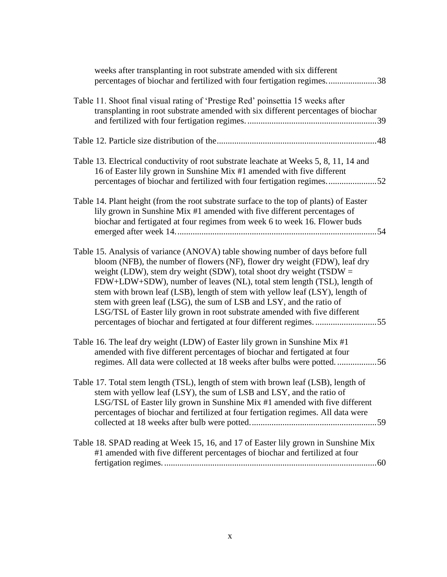| weeks after transplanting in root substrate amended with six different<br>percentages of biochar and fertilized with four fertigation regimes38                                                                                                                                                                                                                                                                                                                                                                                                                                                                              |
|------------------------------------------------------------------------------------------------------------------------------------------------------------------------------------------------------------------------------------------------------------------------------------------------------------------------------------------------------------------------------------------------------------------------------------------------------------------------------------------------------------------------------------------------------------------------------------------------------------------------------|
| Table 11. Shoot final visual rating of 'Prestige Red' poinsettia 15 weeks after<br>transplanting in root substrate amended with six different percentages of biochar                                                                                                                                                                                                                                                                                                                                                                                                                                                         |
|                                                                                                                                                                                                                                                                                                                                                                                                                                                                                                                                                                                                                              |
| Table 13. Electrical conductivity of root substrate leachate at Weeks 5, 8, 11, 14 and<br>16 of Easter lily grown in Sunshine Mix #1 amended with five different<br>percentages of biochar and fertilized with four fertigation regimes52                                                                                                                                                                                                                                                                                                                                                                                    |
| Table 14. Plant height (from the root substrate surface to the top of plants) of Easter<br>lily grown in Sunshine Mix #1 amended with five different percentages of<br>biochar and fertigated at four regimes from week 6 to week 16. Flower buds                                                                                                                                                                                                                                                                                                                                                                            |
| Table 15. Analysis of variance (ANOVA) table showing number of days before full<br>bloom (NFB), the number of flowers (NF), flower dry weight (FDW), leaf dry<br>weight (LDW), stem dry weight (SDW), total shoot dry weight (TSDW $=$<br>FDW+LDW+SDW), number of leaves (NL), total stem length (TSL), length of<br>stem with brown leaf (LSB), length of stem with yellow leaf (LSY), length of<br>stem with green leaf (LSG), the sum of LSB and LSY, and the ratio of<br>LSG/TSL of Easter lily grown in root substrate amended with five different<br>percentages of biochar and fertigated at four different regimes55 |
| Table 16. The leaf dry weight (LDW) of Easter lily grown in Sunshine Mix #1<br>amended with five different percentages of biochar and fertigated at four<br>regimes. All data were collected at 18 weeks after bulbs were potted56                                                                                                                                                                                                                                                                                                                                                                                           |
| Table 17. Total stem length (TSL), length of stem with brown leaf (LSB), length of<br>stem with yellow leaf (LSY), the sum of LSB and LSY, and the ratio of<br>LSG/TSL of Easter lily grown in Sunshine Mix #1 amended with five different<br>percentages of biochar and fertilized at four fertigation regimes. All data were                                                                                                                                                                                                                                                                                               |
| Table 18. SPAD reading at Week 15, 16, and 17 of Easter lily grown in Sunshine Mix<br>#1 amended with five different percentages of biochar and fertilized at four                                                                                                                                                                                                                                                                                                                                                                                                                                                           |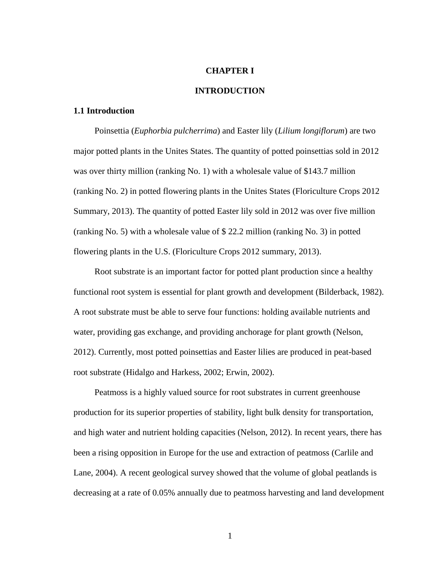## **CHAPTER I**

# **INTRODUCTION**

# <span id="page-10-1"></span><span id="page-10-0"></span>**1.1 Introduction**

Poinsettia (*Euphorbia pulcherrima*) and Easter lily (*Lilium longiflorum*) are two major potted plants in the Unites States. The quantity of potted poinsettias sold in 2012 was over thirty million (ranking No. 1) with a wholesale value of \$143.7 million (ranking No. 2) in potted flowering plants in the Unites States (Floriculture Crops 2012 Summary, 2013). The quantity of potted Easter lily sold in 2012 was over five million (ranking No. 5) with a wholesale value of \$ 22.2 million (ranking No. 3) in potted flowering plants in the U.S. (Floriculture Crops 2012 summary, 2013).

Root substrate is an important factor for potted plant production since a healthy functional root system is essential for plant growth and development (Bilderback, 1982). A root substrate must be able to serve four functions: holding available nutrients and water, providing gas exchange, and providing anchorage for plant growth (Nelson, 2012). Currently, most potted poinsettias and Easter lilies are produced in peat-based root substrate (Hidalgo and Harkess, 2002; Erwin, 2002).

Peatmoss is a highly valued source for root substrates in current greenhouse production for its superior properties of stability, light bulk density for transportation, and high water and nutrient holding capacities (Nelson, 2012). In recent years, there has been a rising opposition in Europe for the use and extraction of peatmoss (Carlile and Lane, 2004). A recent geological survey showed that the volume of global peatlands is decreasing at a rate of 0.05% annually due to peatmoss harvesting and land development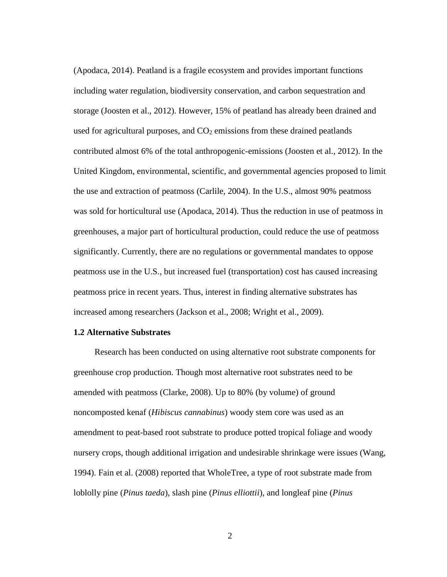(Apodaca, 2014). Peatland is a fragile ecosystem and provides important functions including water regulation, biodiversity conservation, and carbon sequestration and storage (Joosten et al., 2012). However, 15% of peatland has already been drained and used for agricultural purposes, and  $CO<sub>2</sub>$  emissions from these drained peatlands contributed almost 6% of the total anthropogenic-emissions (Joosten et al., 2012). In the United Kingdom, environmental, scientific, and governmental agencies proposed to limit the use and extraction of peatmoss (Carlile, 2004). In the U.S., almost 90% peatmoss was sold for horticultural use (Apodaca, 2014). Thus the reduction in use of peatmoss in greenhouses, a major part of horticultural production, could reduce the use of peatmoss significantly. Currently, there are no regulations or governmental mandates to oppose peatmoss use in the U.S., but increased fuel (transportation) cost has caused increasing peatmoss price in recent years. Thus, interest in finding alternative substrates has increased among researchers (Jackson et al., 2008; Wright et al., 2009).

# <span id="page-11-0"></span>**1.2 Alternative Substrates**

Research has been conducted on using alternative root substrate components for greenhouse crop production. Though most alternative root substrates need to be amended with peatmoss (Clarke, 2008). Up to 80% (by volume) of ground noncomposted kenaf (*Hibiscus cannabinus*) woody stem core was used as an amendment to peat-based root substrate to produce potted tropical foliage and woody nursery crops, though additional irrigation and undesirable shrinkage were issues (Wang, 1994). Fain et al. (2008) reported that WholeTree, a type of root substrate made from loblolly pine (*Pinus taeda*), slash pine (*Pinus elliottii*), and longleaf pine (*Pinus*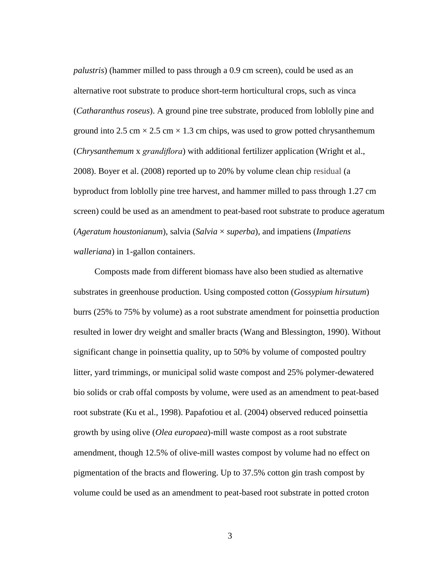*palustris*) (hammer milled to pass through a 0.9 cm screen), could be used as an alternative root substrate to produce short-term horticultural crops, such as vinca (*Catharanthus roseus*). A ground pine tree substrate, produced from loblolly pine and ground into 2.5 cm  $\times$  2.5 cm  $\times$  1.3 cm chips, was used to grow potted chrysanthemum (*Chrysanthemum* x *grandiflora*) with additional fertilizer application (Wright et al., 2008). Boyer et al. (2008) reported up to 20% by volume clean chip residual (a byproduct from loblolly pine tree harvest, and hammer milled to pass through 1.27 cm screen) could be used as an amendment to peat-based root substrate to produce ageratum (*Ageratum houstonianum*), salvia (*Salvia* × *superba*), and impatiens (*Impatiens walleriana*) in 1-gallon containers.

Composts made from different biomass have also been studied as alternative substrates in greenhouse production. Using composted cotton (*Gossypium hirsutum*) burrs (25% to 75% by volume) as a root substrate amendment for poinsettia production resulted in lower dry weight and smaller bracts (Wang and Blessington, 1990). Without significant change in poinsettia quality, up to 50% by volume of composted poultry litter, yard trimmings, or municipal solid waste compost and 25% polymer-dewatered bio solids or crab offal composts by volume, were used as an amendment to peat-based root substrate (Ku et al., 1998). Papafotiou et al. (2004) observed reduced poinsettia growth by using olive (*Olea europaea*)-mill waste compost as a root substrate amendment, though 12.5% of olive-mill wastes compost by volume had no effect on pigmentation of the bracts and flowering. Up to 37.5% cotton gin trash compost by volume could be used as an amendment to peat-based root substrate in potted croton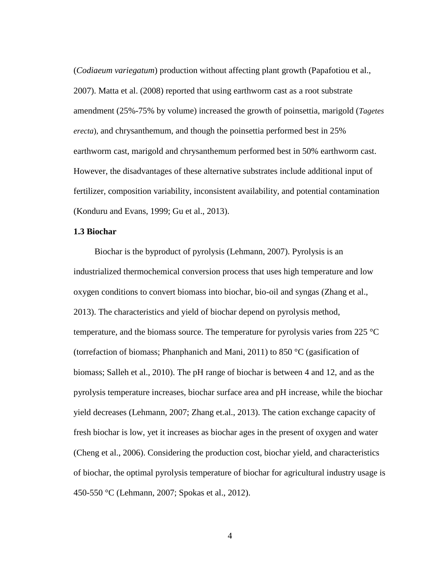(*Codiaeum variegatum*) production without affecting plant growth (Papafotiou et al., 2007). Matta et al. (2008) reported that using earthworm cast as a root substrate amendment (25%-75% by volume) increased the growth of poinsettia, marigold (*Tagetes erecta*), and chrysanthemum, and though the poinsettia performed best in 25% earthworm cast, marigold and chrysanthemum performed best in 50% earthworm cast. However, the disadvantages of these alternative substrates include additional input of fertilizer, composition variability, inconsistent availability, and potential contamination (Konduru and Evans, 1999; Gu et al., 2013).

# <span id="page-13-0"></span>**1.3 Biochar**

Biochar is the byproduct of pyrolysis (Lehmann, 2007). Pyrolysis is an industrialized thermochemical conversion process that uses high temperature and low oxygen conditions to convert biomass into biochar, bio-oil and syngas (Zhang et al., 2013). The characteristics and yield of biochar depend on pyrolysis method, temperature, and the biomass source. The temperature for pyrolysis varies from 225 °C (torrefaction of biomass; Phanphanich and Mani, 2011) to 850 °C (gasification of biomass; Salleh et al., 2010). The pH range of biochar is between 4 and 12, and as the pyrolysis temperature increases, biochar surface area and pH increase, while the biochar yield decreases (Lehmann, 2007; Zhang et.al., 2013). The cation exchange capacity of fresh biochar is low, yet it increases as biochar ages in the present of oxygen and water (Cheng et al., 2006). Considering the production cost, biochar yield, and characteristics of biochar, the optimal pyrolysis temperature of biochar for agricultural industry usage is 450-550 °C (Lehmann, 2007; Spokas et al., 2012).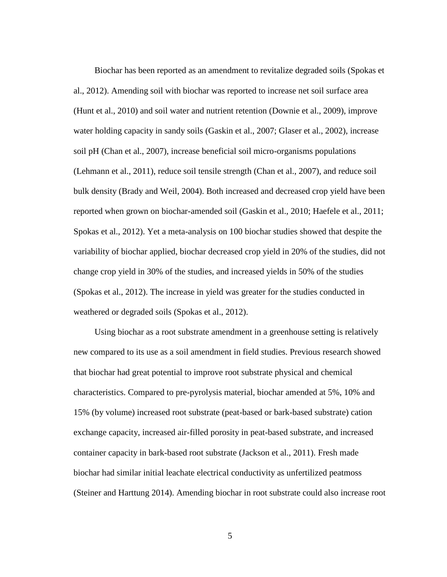Biochar has been reported as an amendment to revitalize degraded soils (Spokas et al., 2012). Amending soil with biochar was reported to increase net soil surface area (Hunt et al., 2010) and soil water and nutrient retention (Downie et al., 2009), improve water holding capacity in sandy soils (Gaskin et al., 2007; Glaser et al., 2002), increase soil pH (Chan et al., 2007), increase beneficial soil micro-organisms populations (Lehmann et al., 2011), reduce soil tensile strength (Chan et al., 2007), and reduce soil bulk density (Brady and Weil, 2004). Both increased and decreased crop yield have been reported when grown on biochar-amended soil (Gaskin et al., 2010; Haefele et al., 2011; Spokas et al., 2012). Yet a meta-analysis on 100 biochar studies showed that despite the variability of biochar applied, biochar decreased crop yield in 20% of the studies, did not change crop yield in 30% of the studies, and increased yields in 50% of the studies (Spokas et al., 2012). The increase in yield was greater for the studies conducted in weathered or degraded soils (Spokas et al., 2012).

Using biochar as a root substrate amendment in a greenhouse setting is relatively new compared to its use as a soil amendment in field studies. Previous research showed that biochar had great potential to improve root substrate physical and chemical characteristics. Compared to pre-pyrolysis material, biochar amended at 5%, 10% and 15% (by volume) increased root substrate (peat-based or bark-based substrate) cation exchange capacity, increased air-filled porosity in peat-based substrate, and increased container capacity in bark-based root substrate (Jackson et al., 2011). Fresh made biochar had similar initial leachate electrical conductivity as unfertilized peatmoss (Steiner and Harttung 2014). Amending biochar in root substrate could also increase root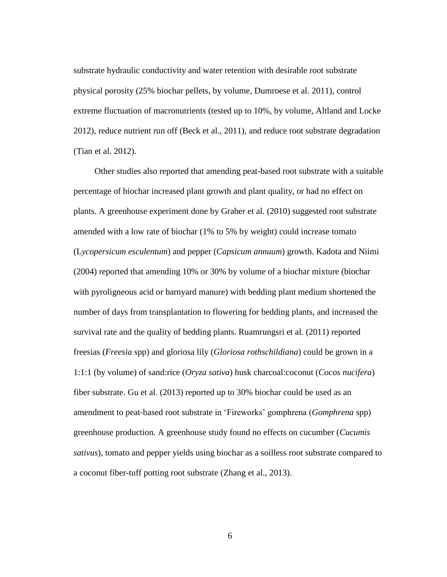substrate hydraulic conductivity and water retention with desirable root substrate physical porosity (25% biochar pellets, by volume, Dumroese et al. 2011), control extreme fluctuation of macronutrients (tested up to 10%, by volume, Altland and Locke 2012), reduce nutrient run off (Beck et al., 2011), and reduce root substrate degradation (Tian et al. 2012).

Other studies also reported that amending peat-based root substrate with a suitable percentage of biochar increased plant growth and plant quality, or had no effect on plants. A greenhouse experiment done by Graber et al. (2010) suggested root substrate amended with a low rate of biochar (1% to 5% by weight) could increase tomato (L*ycopersicum esculentum*) and pepper (*Capsicum annuum*) growth. Kadota and Niimi (2004) reported that amending 10% or 30% by volume of a biochar mixture (biochar with pyroligneous acid or barnyard manure) with bedding plant medium shortened the number of days from transplantation to flowering for bedding plants, and increased the survival rate and the quality of bedding plants. Ruamrungsri et al. (2011) reported freesias (*Freesia* spp) and gloriosa lily (*Gloriosa rothschildiana*) could be grown in a 1:1:1 (by volume) of sand:rice (*Oryza sativa*) husk charcoal:coconut (*Cocos nucifera*) fiber substrate. Gu et al. (2013) reported up to 30% biochar could be used as an amendment to peat-based root substrate in 'Fireworks' gomphrena (*Gomphrena* spp) greenhouse production. A greenhouse study found no effects on cucumber (*Cucumis sativus*), tomato and pepper yields using biochar as a soilless root substrate compared to a coconut fiber-tuff potting root substrate (Zhang et al., 2013).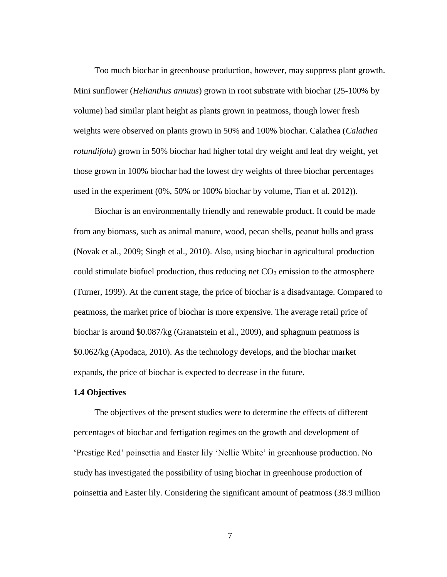Too much biochar in greenhouse production, however, may suppress plant growth. Mini sunflower (*Helianthus annuus*) grown in root substrate with biochar (25-100% by volume) had similar plant height as plants grown in peatmoss, though lower fresh weights were observed on plants grown in 50% and 100% biochar. Calathea (*Calathea rotundifola*) grown in 50% biochar had higher total dry weight and leaf dry weight, yet those grown in 100% biochar had the lowest dry weights of three biochar percentages used in the experiment (0%, 50% or 100% biochar by volume, Tian et al. 2012)).

Biochar is an environmentally friendly and renewable product. It could be made from any biomass, such as animal manure, wood, pecan shells, peanut hulls and grass (Novak et al., 2009; Singh et al., 2010). Also, using biochar in agricultural production could stimulate biofuel production, thus reducing net  $CO<sub>2</sub>$  emission to the atmosphere (Turner, 1999). At the current stage, the price of biochar is a disadvantage. Compared to peatmoss, the market price of biochar is more expensive. The average retail price of biochar is around \$0.087/kg (Granatstein et al., 2009), and sphagnum peatmoss is \$0.062/kg (Apodaca, 2010). As the technology develops, and the biochar market expands, the price of biochar is expected to decrease in the future.

# <span id="page-16-0"></span>**1.4 Objectives**

The objectives of the present studies were to determine the effects of different percentages of biochar and fertigation regimes on the growth and development of 'Prestige Red' poinsettia and Easter lily 'Nellie White' in greenhouse production. No study has investigated the possibility of using biochar in greenhouse production of poinsettia and Easter lily. Considering the significant amount of peatmoss (38.9 million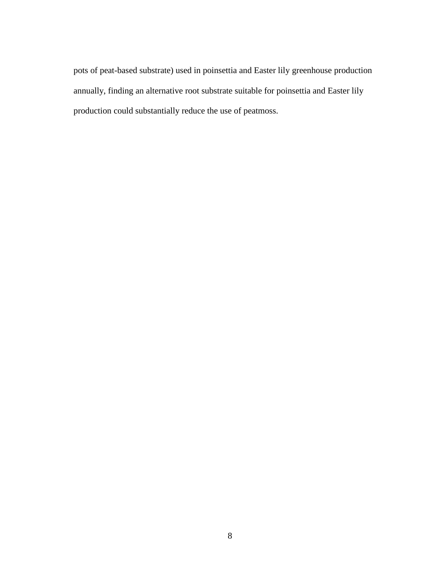pots of peat-based substrate) used in poinsettia and Easter lily greenhouse production annually, finding an alternative root substrate suitable for poinsettia and Easter lily production could substantially reduce the use of peatmoss.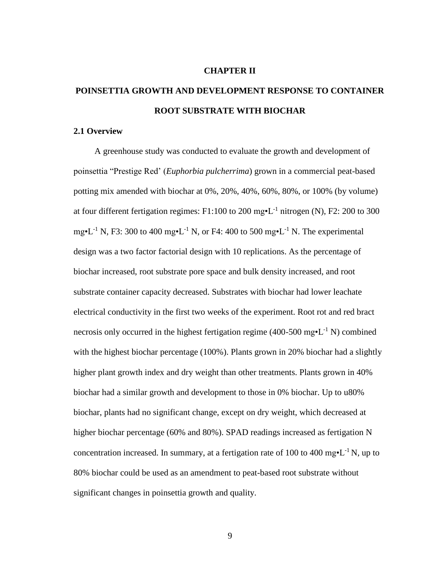#### **CHAPTER II**

# <span id="page-18-0"></span>**POINSETTIA GROWTH AND DEVELOPMENT RESPONSE TO CONTAINER ROOT SUBSTRATE WITH BIOCHAR**

## <span id="page-18-1"></span>**2.1 Overview**

A greenhouse study was conducted to evaluate the growth and development of poinsettia "Prestige Red' (*Euphorbia pulcherrima*) grown in a commercial peat-based potting mix amended with biochar at 0%, 20%, 40%, 60%, 80%, or 100% (by volume) at four different fertigation regimes:  $F1:100$  to 200 mg $\cdot L^{-1}$  nitrogen (N), F2: 200 to 300 mg•L<sup>-1</sup> N, F3: 300 to 400 mg•L<sup>-1</sup> N, or F4: 400 to 500 mg•L<sup>-1</sup> N. The experimental design was a two factor factorial design with 10 replications. As the percentage of biochar increased, root substrate pore space and bulk density increased, and root substrate container capacity decreased. Substrates with biochar had lower leachate electrical conductivity in the first two weeks of the experiment. Root rot and red bract necrosis only occurred in the highest fertigation regime (400-500 mg $\cdot$ L<sup>-1</sup> N) combined with the highest biochar percentage (100%). Plants grown in 20% biochar had a slightly higher plant growth index and dry weight than other treatments. Plants grown in 40% biochar had a similar growth and development to those in 0% biochar. Up to u80% biochar, plants had no significant change, except on dry weight, which decreased at higher biochar percentage (60% and 80%). SPAD readings increased as fertigation N concentration increased. In summary, at a fertigation rate of 100 to 400 mg $\cdot$ L<sup>-1</sup> N, up to 80% biochar could be used as an amendment to peat-based root substrate without significant changes in poinsettia growth and quality.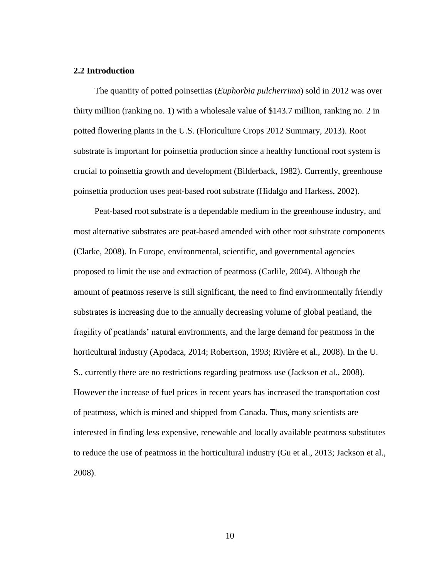# <span id="page-19-0"></span>**2.2 Introduction**

The quantity of potted poinsettias (*Euphorbia pulcherrima*) sold in 2012 was over thirty million (ranking no. 1) with a wholesale value of \$143.7 million, ranking no. 2 in potted flowering plants in the U.S. (Floriculture Crops 2012 Summary, 2013). Root substrate is important for poinsettia production since a healthy functional root system is crucial to poinsettia growth and development (Bilderback, 1982). Currently, greenhouse poinsettia production uses peat-based root substrate (Hidalgo and Harkess, 2002).

Peat-based root substrate is a dependable medium in the greenhouse industry, and most alternative substrates are peat-based amended with other root substrate components (Clarke, 2008). In Europe, environmental, scientific, and governmental agencies proposed to limit the use and extraction of peatmoss (Carlile, 2004). Although the amount of peatmoss reserve is still significant, the need to find environmentally friendly substrates is increasing due to the annually decreasing volume of global peatland, the fragility of peatlands' natural environments, and the large demand for peatmoss in the horticultural industry (Apodaca, 2014; Robertson, 1993; Rivière et al., 2008). In the U. S., currently there are no restrictions regarding peatmoss use (Jackson et al., 2008). However the increase of fuel prices in recent years has increased the transportation cost of peatmoss, which is mined and shipped from Canada. Thus, many scientists are interested in finding less expensive, renewable and locally available peatmoss substitutes to reduce the use of peatmoss in the horticultural industry (Gu et al., 2013; Jackson et al., 2008).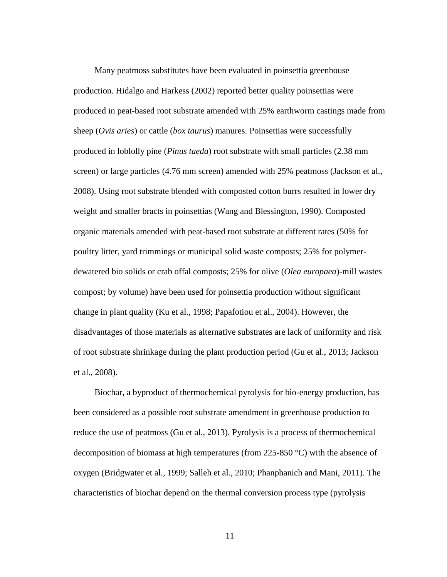Many peatmoss substitutes have been evaluated in poinsettia greenhouse production. Hidalgo and Harkess (2002) reported better quality poinsettias were produced in peat-based root substrate amended with 25% earthworm castings made from sheep (*Ovis aries*) or cattle (*box taurus*) manures. Poinsettias were successfully produced in loblolly pine (*Pinus taeda*) root substrate with small particles (2.38 mm screen) or large particles (4.76 mm screen) amended with 25% peatmoss (Jackson et al., 2008). Using root substrate blended with composted cotton burrs resulted in lower dry weight and smaller bracts in poinsettias (Wang and Blessington, 1990). Composted organic materials amended with peat-based root substrate at different rates (50% for poultry litter, yard trimmings or municipal solid waste composts; 25% for polymerdewatered bio solids or crab offal composts; 25% for olive (*Olea europaea*)-mill wastes compost; by volume) have been used for poinsettia production without significant change in plant quality (Ku et al., 1998; Papafotiou et al., 2004). However, the disadvantages of those materials as alternative substrates are lack of uniformity and risk of root substrate shrinkage during the plant production period (Gu et al., 2013; Jackson et al., 2008).

Biochar, a byproduct of thermochemical pyrolysis for bio-energy production, has been considered as a possible root substrate amendment in greenhouse production to reduce the use of peatmoss (Gu et al., 2013). Pyrolysis is a process of thermochemical decomposition of biomass at high temperatures (from 225-850 °C) with the absence of oxygen (Bridgwater et al., 1999; Salleh et al., 2010; Phanphanich and Mani, 2011). The characteristics of biochar depend on the thermal conversion process type (pyrolysis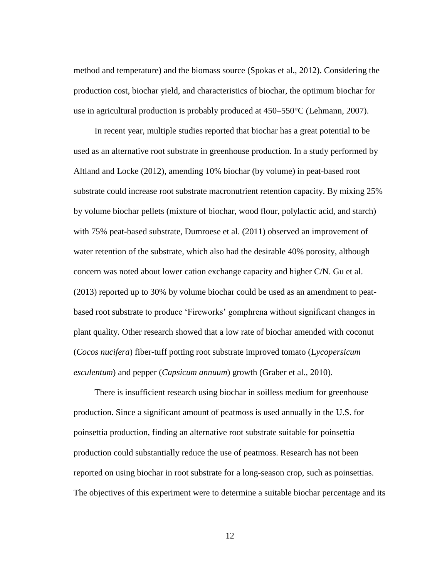method and temperature) and the biomass source (Spokas et al., 2012). Considering the production cost, biochar yield, and characteristics of biochar, the optimum biochar for use in agricultural production is probably produced at 450–550°C (Lehmann, 2007).

In recent year, multiple studies reported that biochar has a great potential to be used as an alternative root substrate in greenhouse production. In a study performed by Altland and Locke (2012), amending 10% biochar (by volume) in peat-based root substrate could increase root substrate macronutrient retention capacity. By mixing 25% by volume biochar pellets (mixture of biochar, wood flour, polylactic acid, and starch) with 75% peat-based substrate, Dumroese et al. (2011) observed an improvement of water retention of the substrate, which also had the desirable 40% porosity, although concern was noted about lower cation exchange capacity and higher C/N. Gu et al. (2013) reported up to 30% by volume biochar could be used as an amendment to peatbased root substrate to produce 'Fireworks' gomphrena without significant changes in plant quality. Other research showed that a low rate of biochar amended with coconut (*Cocos nucifera*) fiber-tuff potting root substrate improved tomato (L*ycopersicum esculentum*) and pepper (*Capsicum annuum*) growth (Graber et al., 2010).

There is insufficient research using biochar in soilless medium for greenhouse production. Since a significant amount of peatmoss is used annually in the U.S. for poinsettia production, finding an alternative root substrate suitable for poinsettia production could substantially reduce the use of peatmoss. Research has not been reported on using biochar in root substrate for a long-season crop, such as poinsettias. The objectives of this experiment were to determine a suitable biochar percentage and its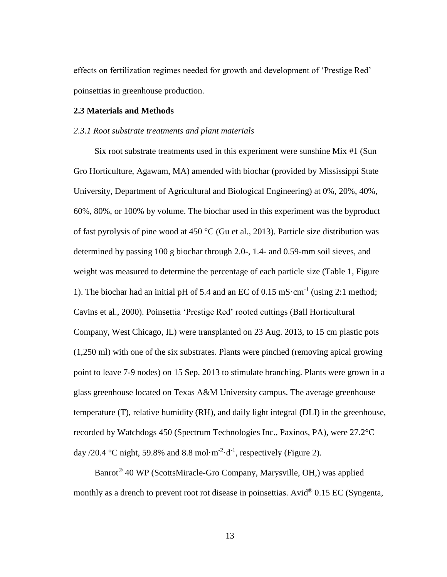effects on fertilization regimes needed for growth and development of 'Prestige Red' poinsettias in greenhouse production.

## <span id="page-22-0"></span>**2.3 Materials and Methods**

# <span id="page-22-1"></span>*2.3.1 Root substrate treatments and plant materials*

Six root substrate treatments used in this experiment were sunshine Mix #1 (Sun Gro Horticulture, Agawam, MA) amended with biochar (provided by Mississippi State University, Department of Agricultural and Biological Engineering) at 0%, 20%, 40%, 60%, 80%, or 100% by volume. The biochar used in this experiment was the byproduct of fast pyrolysis of pine wood at 450 °C (Gu et al., 2013). Particle size distribution was determined by passing 100 g biochar through 2.0-, 1.4- and 0.59-mm soil sieves, and weight was measured to determine the percentage of each particle size (Table 1, Figure 1). The biochar had an initial pH of 5.4 and an EC of  $0.15 \text{ mS} \cdot \text{cm}^{-1}$  (using 2:1 method; Cavins et al., 2000). Poinsettia 'Prestige Red' rooted cuttings (Ball Horticultural Company, West Chicago, IL) were transplanted on 23 Aug. 2013, to 15 cm plastic pots (1,250 ml) with one of the six substrates. Plants were pinched (removing apical growing point to leave 7-9 nodes) on 15 Sep. 2013 to stimulate branching. Plants were grown in a glass greenhouse located on Texas A&M University campus. The average greenhouse temperature (T), relative humidity (RH), and daily light integral (DLI) in the greenhouse, recorded by Watchdogs 450 (Spectrum Technologies Inc., Paxinos, PA), were 27.2°C day /20.4 °C night, 59.8% and 8.8 mol $\cdot$ m<sup>-2</sup> $\cdot$ d<sup>-1</sup>, respectively (Figure 2).

Banrot® 40 WP (ScottsMiracle-Gro Company, Marysville, OH,) was applied monthly as a drench to prevent root rot disease in poinsettias. Avid<sup>®</sup> 0.15 EC [\(Syngenta,](http://www.forestrydistributing.com/en/syngenta)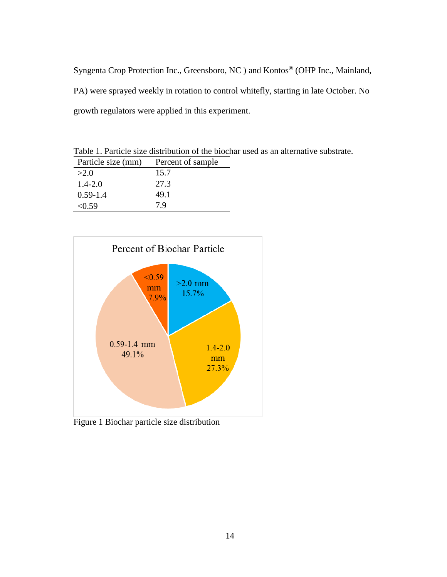Syngenta Crop Protection Inc., Greensboro, NC ) and Kontos® (OHP Inc., Mainland, PA) were sprayed weekly in rotation to control whitefly, starting in late October. No growth regulators were applied in this experiment.

<span id="page-23-1"></span>Table 1. Particle size distribution of the biochar used as an alternative substrate.

| Particle size (mm) | Percent of sample |
|--------------------|-------------------|
| >2.0               | 15.7              |
| $1.4 - 2.0$        | 27.3              |
| $0.59 - 1.4$       | 49.1              |
| < 0.59             | 7.9               |



<span id="page-23-0"></span>Figure 1 Biochar particle size distribution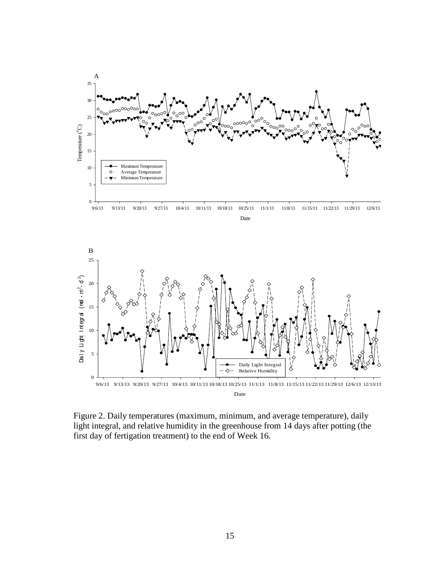

<span id="page-24-0"></span>Figure 2. Daily temperatures (maximum, minimum, and average temperature), daily light integral, and relative humidity in the greenhouse from 14 days after potting (the first day of fertigation treatment) to the end of Week 16.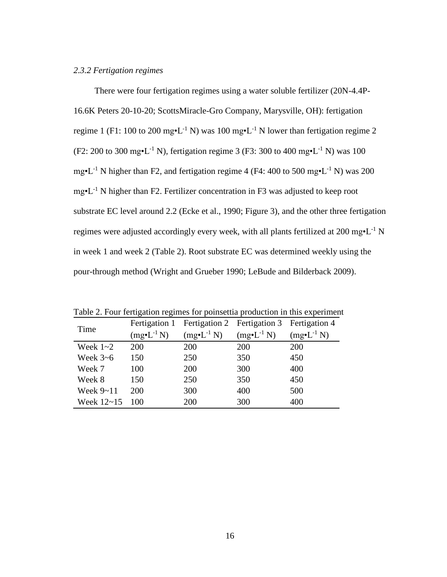# <span id="page-25-0"></span>*2.3.2 Fertigation regimes*

There were four fertigation regimes using a water soluble fertilizer (20N-4.4P-16.6K Peters 20-10-20; ScottsMiracle-Gro Company, Marysville, OH): fertigation regime 1 (F1: 100 to 200 mg $\cdot L^{-1}$  N) was 100 mg $\cdot L^{-1}$  N lower than fertigation regime 2 (F2: 200 to 300 mg•L<sup>-1</sup> N), fertigation regime 3 (F3: 300 to 400 mg•L<sup>-1</sup> N) was 100 mg•L<sup>-1</sup> N higher than F2, and fertigation regime 4 (F4: 400 to 500 mg•L<sup>-1</sup> N) was 200  $mg<sup>•</sup>L<sup>-1</sup>$  N higher than F2. Fertilizer concentration in F3 was adjusted to keep root substrate EC level around 2.2 (Ecke et al., 1990; Figure 3), and the other three fertigation regimes were adjusted accordingly every week, with all plants fertilized at 200 mg $\cdot L^{-1}$  N in week 1 and week 2 (Table 2). Root substrate EC was determined weekly using the pour-through method (Wright and Grueber 1990; LeBude and Bilderback 2009).

|             |                       | Fertigation 1 Fertigation 2 Fertigation 3 Fertigation 4 |                        |                        |  |  |  |
|-------------|-----------------------|---------------------------------------------------------|------------------------|------------------------|--|--|--|
| Time        | $(mg\bullet L^{-1}N)$ | $(mg\bullet L^{-1} N)$                                  | $(mg\bullet L^{-1} N)$ | $(mg\bullet L^{-1} N)$ |  |  |  |
| Week $1-2$  | 200                   | <b>200</b>                                              | <b>200</b>             | <b>200</b>             |  |  |  |
| Week $3-6$  | 150                   | 250                                                     | 350                    | 450                    |  |  |  |
| Week 7      | 100                   | 200                                                     | 300                    | 400                    |  |  |  |
| Week 8      | 150                   | 250                                                     | 350                    | 450                    |  |  |  |
| Week $9-11$ | 200                   | 300                                                     | 400                    | 500                    |  |  |  |
| Week 12~15  | 100                   | 200                                                     | 300                    | 400                    |  |  |  |

<span id="page-25-1"></span>Table 2. Four fertigation regimes for poinsettia production in this experiment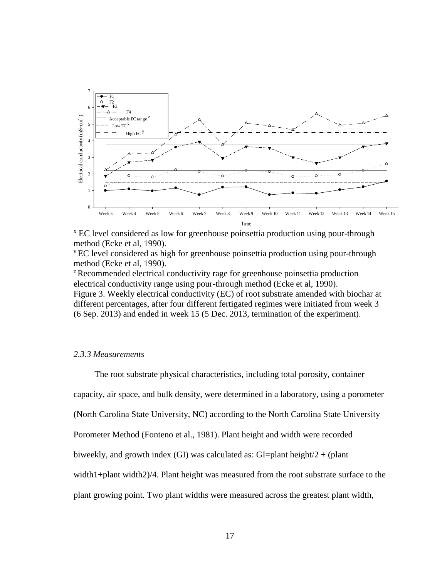

<sup>x</sup> EC level considered as low for greenhouse poinsettia production using pour-through method (Ecke et al, 1990).

<sup>y</sup> EC level considered as high for greenhouse poinsettia production using pour-through method (Ecke et al, 1990).

<span id="page-26-1"></span><sup>z</sup> Recommended electrical conductivity rage for greenhouse poinsettia production electrical conductivity range using pour-through method (Ecke et al, 1990). Figure 3. Weekly electrical conductivity (EC) of root substrate amended with biochar at different percentages, after four different fertigated regimes were initiated from week 3 (6 Sep. 2013) and ended in week 15 (5 Dec. 2013, termination of the experiment).

#### <span id="page-26-0"></span>*2.3.3 Measurements*

The root substrate physical characteristics, including total porosity, container capacity, air space, and bulk density, were determined in a laboratory, using a porometer (North Carolina State University, NC) according to the North Carolina State University Porometer Method (Fonteno et al., 1981). Plant height and width were recorded biweekly, and growth index (GI) was calculated as: GI=plant height/ $2 + (plant)$ width1+plant width2)/4. Plant height was measured from the root substrate surface to the plant growing point. Two plant widths were measured across the greatest plant width,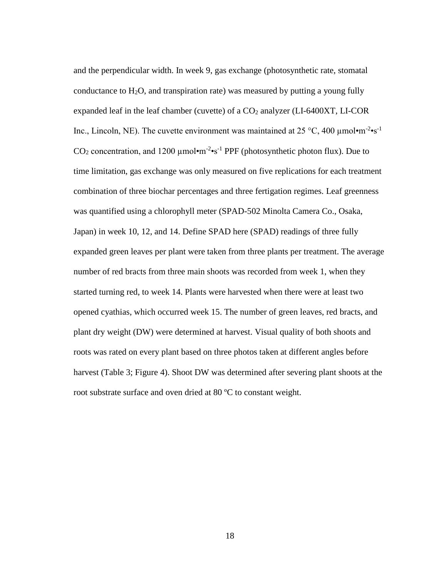and the perpendicular width. In week 9, gas exchange (photosynthetic rate, stomatal conductance to  $H_2O$ , and transpiration rate) was measured by putting a young fully expanded leaf in the leaf chamber (cuvette) of a  $CO<sub>2</sub>$  analyzer (LI-6400XT, LI-COR Inc., Lincoln, NE). The cuvette environment was maintained at  $25 \degree C$ , 400  $\mu$ mol·m<sup>-2</sup>·s<sup>-1</sup> CO<sub>2</sub> concentration, and 1200  $\mu$ mol $\cdot$ m<sup>-2</sup> $\cdot$ s<sup>-1</sup> PPF (photosynthetic photon flux). Due to time limitation, gas exchange was only measured on five replications for each treatment combination of three biochar percentages and three fertigation regimes. Leaf greenness was quantified using a chlorophyll meter (SPAD-502 Minolta Camera Co., Osaka, Japan) in week 10, 12, and 14. Define SPAD here (SPAD) readings of three fully expanded green leaves per plant were taken from three plants per treatment. The average number of red bracts from three main shoots was recorded from week 1, when they started turning red, to week 14. Plants were harvested when there were at least two opened cyathias, which occurred week 15. The number of green leaves, red bracts, and plant dry weight (DW) were determined at harvest. Visual quality of both shoots and roots was rated on every plant based on three photos taken at different angles before harvest (Table 3; Figure 4). Shoot DW was determined after severing plant shoots at the root substrate surface and oven dried at 80 ºC to constant weight.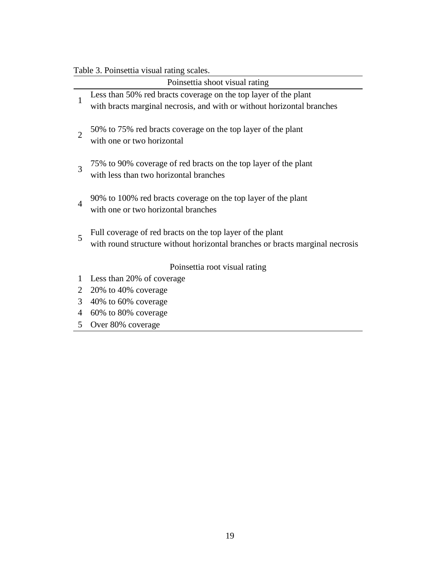# <span id="page-28-0"></span>Table 3. Poinsettia visual rating scales.

|                | Poinsettia shoot visual rating                                                                            |
|----------------|-----------------------------------------------------------------------------------------------------------|
| 1              | Less than 50% red bracts coverage on the top layer of the plant                                           |
|                | with bracts marginal necrosis, and with or without horizontal branches                                    |
| $\overline{2}$ | 50% to 75% red bracts coverage on the top layer of the plant<br>with one or two horizontal                |
| 3              | 75% to 90% coverage of red bracts on the top layer of the plant<br>with less than two horizontal branches |
| 4              | 90% to 100% red bracts coverage on the top layer of the plant<br>with one or two horizontal branches      |
|                | Full coverage of red bracts on the top layer of the plant                                                 |
| 5              | with round structure without horizontal branches or bracts marginal necrosis                              |
|                |                                                                                                           |
|                | Poinsettia root visual rating                                                                             |
| 1              | Less than 20% of coverage                                                                                 |
| 2              | 20% to 40% coverage                                                                                       |
| 3              | 40% to 60% coverage                                                                                       |
| 4              | 60% to 80% coverage                                                                                       |
|                |                                                                                                           |

5 Over 80% coverage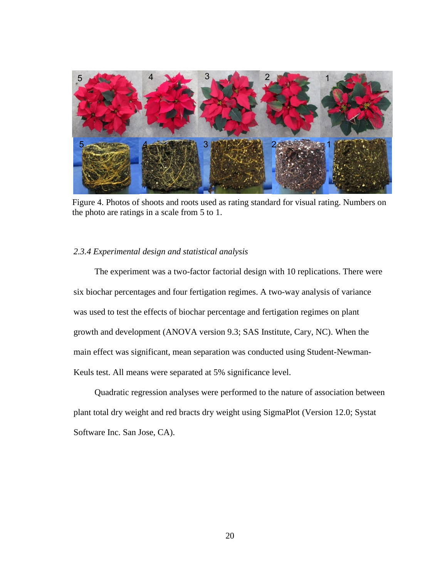

Figure 4. Photos of shoots and roots used as rating standard for visual rating. Numbers on the photo are ratings in a scale from 5 to 1.

# <span id="page-29-0"></span>*2.3.4 Experimental design and statistical analysis*

The experiment was a two-factor factorial design with 10 replications. There were six biochar percentages and four fertigation regimes. A two-way analysis of variance was used to test the effects of biochar percentage and fertigation regimes on plant growth and development (ANOVA version 9.3; SAS Institute, Cary, NC). When the main effect was significant, mean separation was conducted using Student-Newman-Keuls test. All means were separated at 5% significance level.

<span id="page-29-1"></span>Quadratic regression analyses were performed to the nature of association between plant total dry weight and red bracts dry weight using SigmaPlot (Version 12.0; Systat Software Inc. San Jose, CA).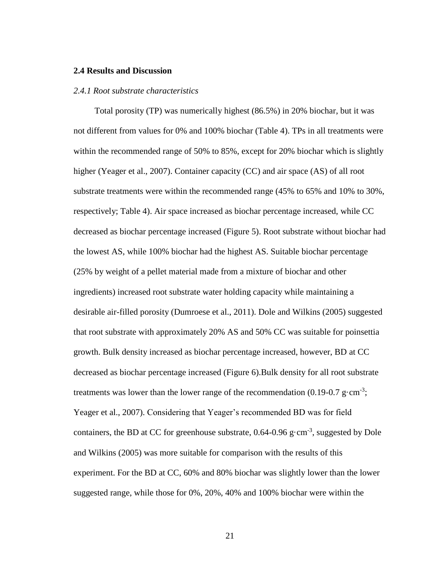## **2.4 Results and Discussion**

#### <span id="page-30-0"></span>*2.4.1 Root substrate characteristics*

Total porosity (TP) was numerically highest (86.5%) in 20% biochar, but it was not different from values for 0% and 100% biochar (Table 4). TPs in all treatments were within the recommended range of 50% to 85%, except for 20% biochar which is slightly higher (Yeager et al., 2007). Container capacity (CC) and air space (AS) of all root substrate treatments were within the recommended range (45% to 65% and 10% to 30%, respectively; Table 4). Air space increased as biochar percentage increased, while CC decreased as biochar percentage increased (Figure 5). Root substrate without biochar had the lowest AS, while 100% biochar had the highest AS. Suitable biochar percentage (25% by weight of a pellet material made from a mixture of biochar and other ingredients) increased root substrate water holding capacity while maintaining a desirable air-filled porosity (Dumroese et al., 2011). Dole and Wilkins (2005) suggested that root substrate with approximately 20% AS and 50% CC was suitable for poinsettia growth. Bulk density increased as biochar percentage increased, however, BD at CC decreased as biochar percentage increased (Figure 6).Bulk density for all root substrate treatments was lower than the lower range of the recommendation (0.19-0.7 g·cm<sup>-3</sup>; Yeager et al., 2007). Considering that Yeager's recommended BD was for field containers, the BD at CC for greenhouse substrate,  $0.64$ - $0.96$  g·cm<sup>-3</sup>, suggested by Dole and Wilkins (2005) was more suitable for comparison with the results of this experiment. For the BD at CC, 60% and 80% biochar was slightly lower than the lower suggested range, while those for 0%, 20%, 40% and 100% biochar were within the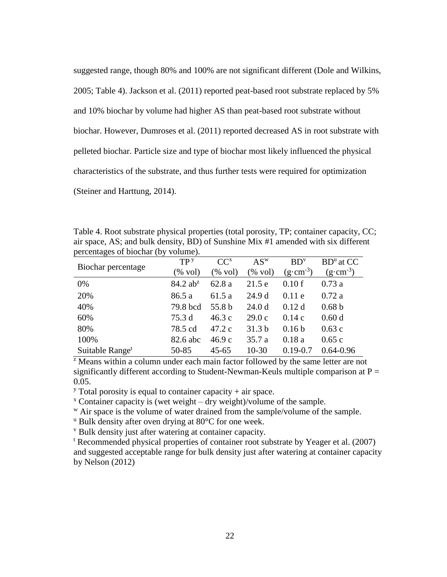suggested range, though 80% and 100% are not significant different (Dole and Wilkins, 2005; Table 4). Jackson et al. (2011) reported peat-based root substrate replaced by 5% and 10% biochar by volume had higher AS than peat-based root substrate without biochar. However, Dumroses et al. (2011) reported decreased AS in root substrate with pelleted biochar. Particle size and type of biochar most likely influenced the physical characteristics of the substrate, and thus further tests were required for optimization (Steiner and Harttung, 2014).

<span id="page-31-0"></span>Table 4. Root substrate physical properties (total porosity, TP; container capacity, CC; air space, AS; and bulk density, BD) of Sunshine Mix #1 amended with six different percentages of biochar (by volume).

|                             | TP <sup>y</sup>        | $CC^{x}$           | $AS^w$            | BD <sup>v</sup>     | $BDu$ at CC         |
|-----------------------------|------------------------|--------------------|-------------------|---------------------|---------------------|
| Biochar percentage          | $(\% \text{ vol})$     | $(\% \text{ vol})$ | $\%$ vol)         | $(g \cdot cm^{-3})$ | $(g \cdot cm^{-3})$ |
| 0%                          | $84.2$ ab <sup>z</sup> | 62.8 a             | 21.5e             | 0.10f               | 0.73a               |
| 20%                         | 86.5 a                 | 61.5 a             | 24.9 d            | 0.11e               | 0.72a               |
| 40%                         | 79.8 bcd               | 55.8 b             | 24.0 <sub>d</sub> | 0.12d               | 0.68 <sub>b</sub>   |
| 60%                         | 75.3 d                 | 46.3c              | 29.0c             | 0.14c               | 0.60d               |
| 80%                         | 78.5 cd                | 47.2c              | 31.3 <sub>b</sub> | 0.16 <sub>b</sub>   | 0.63c               |
| 100%                        | 82.6 abc               | 46.9c              | 35.7 a            | 0.18a               | 0.65c               |
| Suitable Range <sup>t</sup> | 50-85                  | $45 - 65$          | $10-30$           | $0.19 - 0.7$        | $0.64 - 0.96$       |

 $\overline{z}$  Means within a column under each main factor followed by the same letter are not significantly different according to Student-Newman-Keuls multiple comparison at  $P =$ 0.05.

<sup>y</sup> Total porosity is equal to container capacity  $+$  air space.

 $\alpha$ <sup>x</sup> Container capacity is (wet weight – dry weight)/volume of the sample.

w Air space is the volume of water drained from the sample/volume of the sample.

 $\mu$  Bulk density after oven drying at 80 $\degree$ C for one week.

<sup>v</sup> Bulk density just after watering at container capacity.

<sup>t</sup> Recommended physical properties of container root substrate by Yeager et al. (2007) and suggested acceptable range for bulk density just after watering at container capacity by Nelson (2012)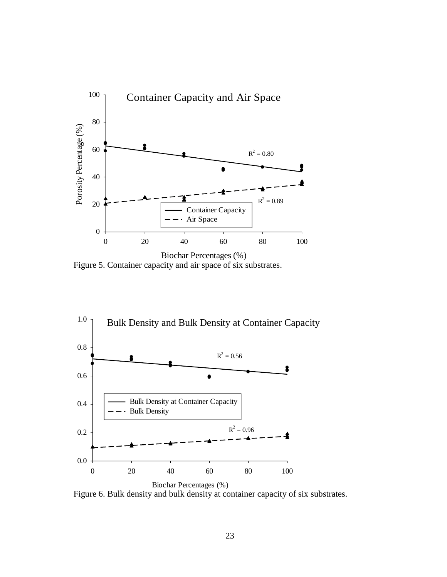

<span id="page-32-0"></span>Figure 5. Container capacity and air space of six substrates.



<span id="page-32-1"></span>Figure 6. Bulk density and bulk density at container capacity of six substrates.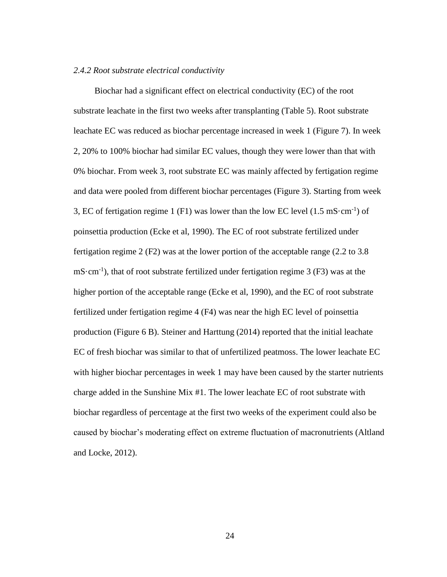## <span id="page-33-0"></span>*2.4.2 Root substrate electrical conductivity*

Biochar had a significant effect on electrical conductivity (EC) of the root substrate leachate in the first two weeks after transplanting (Table 5). Root substrate leachate EC was reduced as biochar percentage increased in week 1 (Figure 7). In week 2, 20% to 100% biochar had similar EC values, though they were lower than that with 0% biochar. From week 3, root substrate EC was mainly affected by fertigation regime and data were pooled from different biochar percentages (Figure 3). Starting from week 3, EC of fertigation regime 1 (F1) was lower than the low EC level  $(1.5 \text{ mS} \cdot \text{cm}^{-1})$  of poinsettia production (Ecke et al, 1990). The EC of root substrate fertilized under fertigation regime 2 (F2) was at the lower portion of the acceptable range (2.2 to 3.8  $mS\cdot cm^{-1}$ ), that of root substrate fertilized under fertigation regime 3 (F3) was at the higher portion of the acceptable range (Ecke et al, 1990), and the EC of root substrate fertilized under fertigation regime 4 (F4) was near the high EC level of poinsettia production (Figure 6 B). Steiner and Harttung (2014) reported that the initial leachate EC of fresh biochar was similar to that of unfertilized peatmoss. The lower leachate EC with higher biochar percentages in week 1 may have been caused by the starter nutrients charge added in the Sunshine Mix #1. The lower leachate EC of root substrate with biochar regardless of percentage at the first two weeks of the experiment could also be caused by biochar's moderating effect on extreme fluctuation of macronutrients (Altland and Locke, 2012).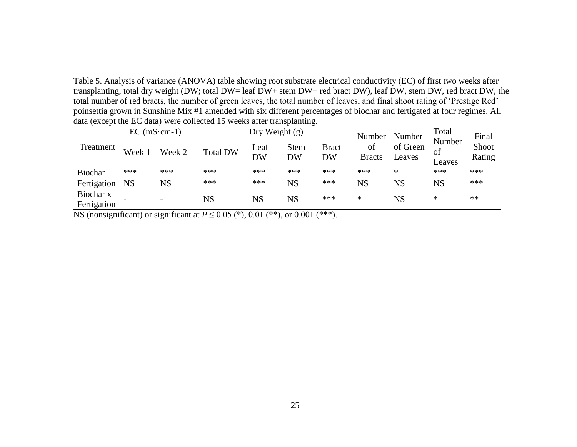Table 5. Analysis of variance (ANOVA) table showing root substrate electrical conductivity (EC) of first two weeks after transplanting, total dry weight (DW; total DW= leaf DW+ stem DW+ red bract DW), leaf DW, stem DW, red bract DW, the total number of red bracts, the number of green leaves, the total number of leaves, and final shoot rating of 'Prestige Red' poinsettia grown in Sunshine Mix #1 amended with six different percentages of biochar and fertigated at four regimes. All data (except the EC data) were collected 15 weeks after transplanting.

|                          | $EC (mS \cdot cm-1)$ |                          | Dry Weight (g)  |            |                          | Number                    | Number              | Total              | Final                  |                 |
|--------------------------|----------------------|--------------------------|-----------------|------------|--------------------------|---------------------------|---------------------|--------------------|------------------------|-----------------|
| Treatment                | Week 1               | Week 2                   | <b>Total DW</b> | Leaf<br>DW | <b>Stem</b><br><b>DW</b> | <b>Bract</b><br><b>DW</b> | of<br><b>Bracts</b> | of Green<br>Leaves | Number<br>of<br>Leaves | Shoot<br>Rating |
| <b>Biochar</b>           | ***                  | ***                      | ***             | ***        | ***                      | ***                       | ***                 | ∗                  | ***                    | ***             |
| Fertigation              | <b>NS</b>            | $_{\rm NS}$              | ***             | ***        | NS                       | ***                       | <b>NS</b>           | $_{\rm NS}$        | <b>NS</b>              | ***             |
| Biochar x<br>Fertigation |                      | $\overline{\phantom{a}}$ | <b>NS</b>       | NS         | $_{\rm NS}$              | ***                       | $\ast$              | NS                 | ∗                      | **              |

<span id="page-34-0"></span>NS (nonsignificant) or significant at  $P \le 0.05$  (\*), 0.01 (\*\*), or 0.001 (\*\*\*).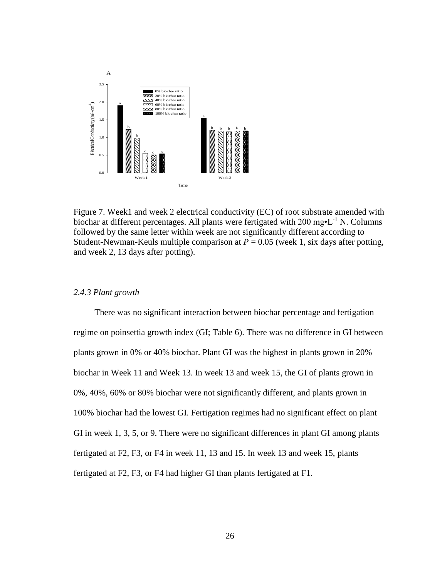

<span id="page-35-1"></span>Figure 7. Week1 and week 2 electrical conductivity (EC) of root substrate amended with biochar at different percentages. All plants were fertigated with  $200 \text{ mg} \cdot L^{-1}$  N. Columns followed by the same letter within week are not significantly different according to Student-Newman-Keuls multiple comparison at  $P = 0.05$  (week 1, six days after potting, and week 2, 13 days after potting).

# <span id="page-35-0"></span>*2.4.3 Plant growth*

There was no significant interaction between biochar percentage and fertigation regime on poinsettia growth index (GI; Table 6). There was no difference in GI between plants grown in 0% or 40% biochar. Plant GI was the highest in plants grown in 20% biochar in Week 11 and Week 13. In week 13 and week 15, the GI of plants grown in 0%, 40%, 60% or 80% biochar were not significantly different, and plants grown in 100% biochar had the lowest GI. Fertigation regimes had no significant effect on plant GI in week 1, 3, 5, or 9. There were no significant differences in plant GI among plants fertigated at F2, F3, or F4 in week 11, 13 and 15. In week 13 and week 15, plants fertigated at F2, F3, or F4 had higher GI than plants fertigated at F1.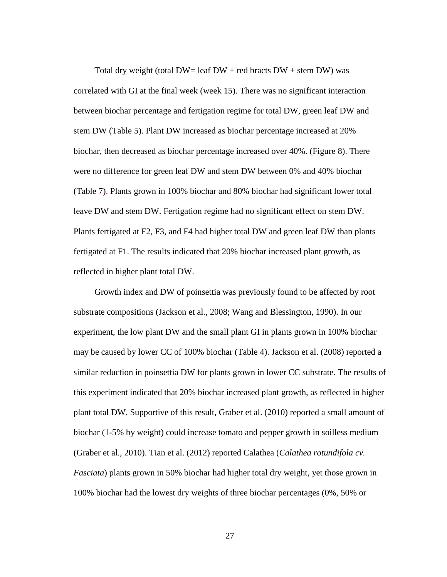Total dry weight (total  $DW = \text{leaf } DW + \text{red }$  bracts  $DW + \text{stem } DW$ ) was correlated with GI at the final week (week 15). There was no significant interaction between biochar percentage and fertigation regime for total DW, green leaf DW and stem DW (Table 5). Plant DW increased as biochar percentage increased at 20% biochar, then decreased as biochar percentage increased over 40%. (Figure 8). There were no difference for green leaf DW and stem DW between 0% and 40% biochar (Table 7). Plants grown in 100% biochar and 80% biochar had significant lower total leave DW and stem DW. Fertigation regime had no significant effect on stem DW. Plants fertigated at F2, F3, and F4 had higher total DW and green leaf DW than plants fertigated at F1. The results indicated that 20% biochar increased plant growth, as reflected in higher plant total DW.

Growth index and DW of poinsettia was previously found to be affected by root substrate compositions (Jackson et al., 2008; Wang and Blessington, 1990). In our experiment, the low plant DW and the small plant GI in plants grown in 100% biochar may be caused by lower CC of 100% biochar (Table 4). Jackson et al. (2008) reported a similar reduction in poinsettia DW for plants grown in lower CC substrate. The results of this experiment indicated that 20% biochar increased plant growth, as reflected in higher plant total DW. Supportive of this result, Graber et al. (2010) reported a small amount of biochar (1-5% by weight) could increase tomato and pepper growth in soilless medium (Graber et al., 2010). Tian et al. (2012) reported Calathea (*Calathea rotundifola cv. Fasciata*) plants grown in 50% biochar had higher total dry weight, yet those grown in 100% biochar had the lowest dry weights of three biochar percentages (0%, 50% or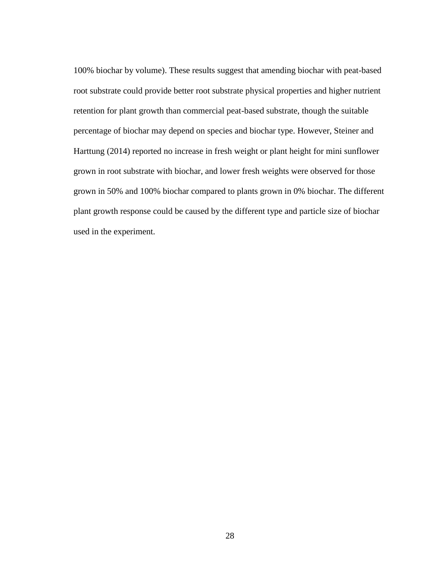100% biochar by volume). These results suggest that amending biochar with peat-based root substrate could provide better root substrate physical properties and higher nutrient retention for plant growth than commercial peat-based substrate, though the suitable percentage of biochar may depend on species and biochar type. However, Steiner and Harttung (2014) reported no increase in fresh weight or plant height for mini sunflower grown in root substrate with biochar, and lower fresh weights were observed for those grown in 50% and 100% biochar compared to plants grown in 0% biochar. The different plant growth response could be caused by the different type and particle size of biochar used in the experiment.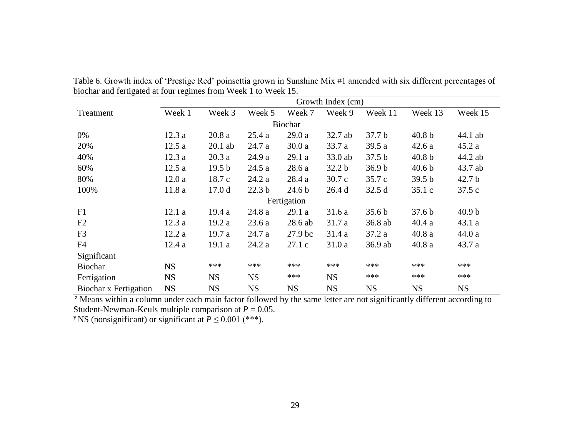|                       | Growth Index (cm) |                   |                   |                    |                   |                   |                   |                   |  |  |
|-----------------------|-------------------|-------------------|-------------------|--------------------|-------------------|-------------------|-------------------|-------------------|--|--|
| Treatment             | Week 1            | Week 3            | Week 5            | Week 7             | Week 9            | Week 11           | Week 13           | Week 15           |  |  |
|                       | Biochar           |                   |                   |                    |                   |                   |                   |                   |  |  |
| 0%                    | 12.3a             | 20.8a             | 25.4a             | 29.0a              | 32.7 ab           | 37.7 <sub>b</sub> | 40.8 <sub>b</sub> | 44.1 ab           |  |  |
| 20%                   | 12.5a             | $20.1$ ab         | 24.7 a            | 30.0a              | 33.7 a            | 39.5 a            | 42.6a             | 45.2a             |  |  |
| 40%                   | 12.3a             | 20.3a             | 24.9 a            | 29.1a              | 33.0 ab           | 37.5 <sub>b</sub> | 40.8 <sub>b</sub> | 44.2 ab           |  |  |
| 60%                   | 12.5a             | 19.5 <sub>b</sub> | 24.5a             | 28.6a              | 32.2 <sub>b</sub> | 36.9 <sub>b</sub> | 40.6 <sub>b</sub> | 43.7 ab           |  |  |
| 80%                   | 12.0a             | 18.7c             | 24.2a             | 28.4a              | 30.7c             | 35.7 c            | 39.5 b            | 42.7 <sub>b</sub> |  |  |
| 100%                  | 11.8a             | 17.0 <sub>d</sub> | 22.3 <sub>b</sub> | 24.6 <sub>b</sub>  | 26.4d             | 32.5d             | 35.1c             | 37.5c             |  |  |
|                       |                   |                   |                   | Fertigation        |                   |                   |                   |                   |  |  |
| F1                    | 12.1a             | 19.4a             | 24.8 a            | 29.1a              | 31.6a             | 35.6 <sub>b</sub> | 37.6 <sub>b</sub> | 40.9 <sub>b</sub> |  |  |
| F2                    | 12.3a             | 19.2 a            | 23.6a             | 28.6 ab            | 31.7 a            | 36.8 ab           | 40.4a             | 43.1a             |  |  |
| F <sub>3</sub>        | 12.2a             | 19.7a             | 24.7 a            | 27.9 <sub>bc</sub> | 31.4 a            | 37.2a             | 40.8a             | 44.0a             |  |  |
| F4                    | 12.4a             | 19.1a             | 24.2 a            | 27.1c              | 31.0a             | 36.9 ab           | 40.8a             | 43.7a             |  |  |
| Significant           |                   |                   |                   |                    |                   |                   |                   |                   |  |  |
| <b>Biochar</b>        | <b>NS</b>         | ***               | ***               | ***                | ***               | ***               | ***               | ***               |  |  |
| Fertigation           | <b>NS</b>         | <b>NS</b>         | <b>NS</b>         | ***                | <b>NS</b>         | ***               | ***               | ***               |  |  |
| Biochar x Fertigation | <b>NS</b>         | <b>NS</b>         | <b>NS</b>         | <b>NS</b>          | <b>NS</b>         | <b>NS</b>         | <b>NS</b>         | <b>NS</b>         |  |  |

Table 6. Growth index of 'Prestige Red' poinsettia grown in Sunshine Mix #1 amended with six different percentages of biochar and fertigated at four regimes from Week 1 to Week 15.

<sup>z</sup> Means within a column under each main factor followed by the same letter are not significantly different according to Student-Newman-Keuls multiple comparison at *P* = 0.05.

<sup>y</sup> NS (nonsignificant) or significant at  $P \le 0.001$  (\*\*\*).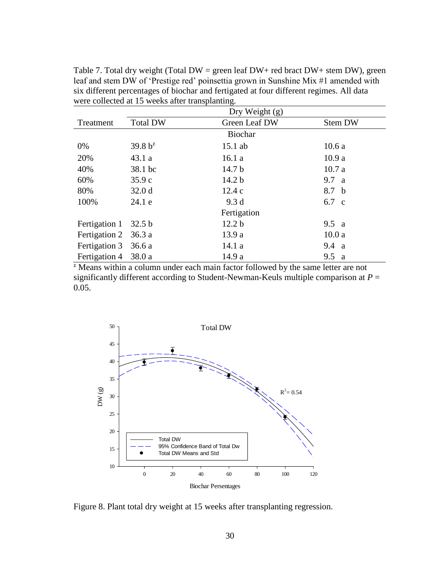Table 7. Total dry weight (Total  $DW =$  green leaf  $DW +$  red bract  $DW +$  stem  $DW$ ), green leaf and stem DW of 'Prestige red' poinsettia grown in Sunshine Mix #1 amended with six different percentages of biochar and fertigated at four different regimes. All data were collected at 15 weeks after transplanting.

|                      | Dry Weight $(g)$  |                   |                     |  |  |  |  |  |
|----------------------|-------------------|-------------------|---------------------|--|--|--|--|--|
| Treatment            | <b>Total DW</b>   | Green Leaf DW     | <b>Stem DW</b>      |  |  |  |  |  |
|                      |                   | Biochar           |                     |  |  |  |  |  |
| 0%                   | $39.8 b^2$        | $15.1$ ab         | 10.6a               |  |  |  |  |  |
| 20%                  | 43.1a             | 16.1a             | 10.9a               |  |  |  |  |  |
| 40%                  | 38.1 bc           | 14.7 <sub>b</sub> | 10.7a               |  |  |  |  |  |
| 60%                  | 35.9c             | 14.2 <sub>b</sub> | 9.7 a               |  |  |  |  |  |
| 80%                  | 32.0 <sub>d</sub> | 12.4c             | 8.7 b               |  |  |  |  |  |
| 100%                 | 24.1 e            | 9.3 <sub>d</sub>  | 6.7 c               |  |  |  |  |  |
|                      |                   | Fertigation       |                     |  |  |  |  |  |
| Fertigation 1        | 32.5 b            | 12.2 <sub>b</sub> | 9.5 a               |  |  |  |  |  |
| Fertigation 2 36.3 a |                   | 13.9a             | 10.0a               |  |  |  |  |  |
| Fertigation 3        | 36.6a             | 14.1a             | 9.4 a               |  |  |  |  |  |
| Fertigation 4        | 38.0 a            | 14.9 a            | 9.5<br><sub>a</sub> |  |  |  |  |  |

<sup>z</sup> Means within a column under each main factor followed by the same letter are not significantly different according to Student-Newman-Keuls multiple comparison at  $P =$ 0.05.



Figure 8. Plant total dry weight at 15 weeks after transplanting regression.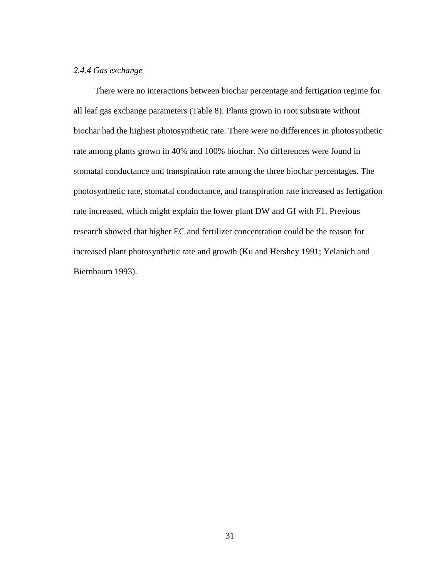# *2.4.4 Gas exchange*

There were no interactions between biochar percentage and fertigation regime for all leaf gas exchange parameters (Table 8). Plants grown in root substrate without biochar had the highest photosynthetic rate. There were no differences in photosynthetic rate among plants grown in 40% and 100% biochar. No differences were found in stomatal conductance and transpiration rate among the three biochar percentages. The photosynthetic rate, stomatal conductance, and transpiration rate increased as fertigation rate increased, which might explain the lower plant DW and GI with F1. Previous research showed that higher EC and fertilizer concentration could be the reason for increased plant photosynthetic rate and growth (Ku and Hershey 1991; Yelanich and Biernbaum 1993).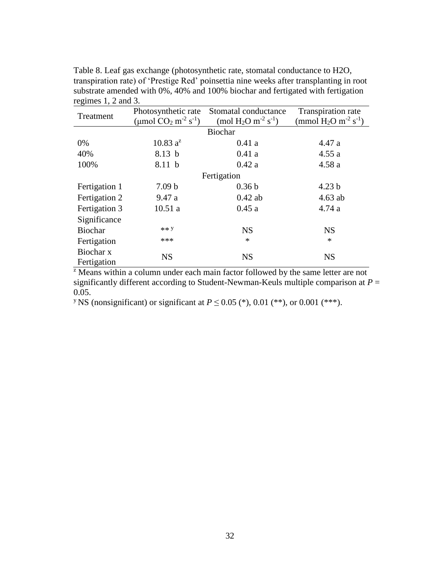| Treatment     | Photosynthetic rate                            | Stomatal conductance                                    | Transpiration rate                             |
|---------------|------------------------------------------------|---------------------------------------------------------|------------------------------------------------|
|               | (µmol $CO_2$ m <sup>-2</sup> s <sup>-1</sup> ) | (mol H <sub>2</sub> O m <sup>-2</sup> s <sup>-1</sup> ) | (mmol $H_2O$ m <sup>-2</sup> s <sup>-1</sup> ) |
|               |                                                | <b>Biochar</b>                                          |                                                |
| 0%            | $10.83 a^2$                                    | 0.41a                                                   | 4.47a                                          |
| 40%           | 8.13 b                                         | 0.41a                                                   | 4.55a                                          |
| 100%          | 8.11 b                                         | 0.42a                                                   | 4.58a                                          |
|               |                                                | Fertigation                                             |                                                |
| Fertigation 1 | 7.09 <sub>b</sub>                              | 0.36 <sub>b</sub>                                       | 4.23 <sub>b</sub>                              |
| Fertigation 2 | 9.47a                                          | $0.42$ ab                                               | $4.63$ ab                                      |
| Fertigation 3 | 10.51a                                         | 0.45a                                                   | 4.74a                                          |
| Significance  |                                                |                                                         |                                                |
| Biochar       | ** Y                                           | <b>NS</b>                                               | <b>NS</b>                                      |
| Fertigation   | ***                                            | $\ast$                                                  | $\ast$                                         |
| Biochar x     | <b>NS</b>                                      | <b>NS</b>                                               | <b>NS</b>                                      |
| Fertigation   |                                                |                                                         |                                                |

Table 8. Leaf gas exchange (photosynthetic rate, stomatal conductance to H2O, transpiration rate) of 'Prestige Red' poinsettia nine weeks after transplanting in root substrate amended with 0%, 40% and 100% biochar and fertigated with fertigation regimes 1, 2 and 3.

<sup>z</sup> Means within a column under each main factor followed by the same letter are not significantly different according to Student-Newman-Keuls multiple comparison at  $P =$ 0.05.

<sup>y</sup> NS (nonsignificant) or significant at  $P \le 0.05$  (\*), 0.01 (\*\*), or 0.001 (\*\*\*).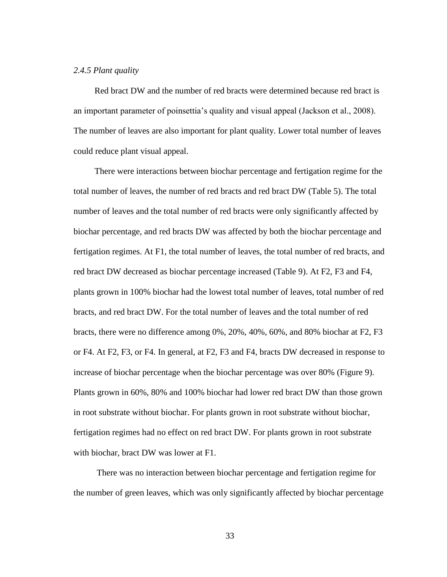# *2.4.5 Plant quality*

Red bract DW and the number of red bracts were determined because red bract is an important parameter of poinsettia's quality and visual appeal (Jackson et al., 2008). The number of leaves are also important for plant quality. Lower total number of leaves could reduce plant visual appeal.

There were interactions between biochar percentage and fertigation regime for the total number of leaves, the number of red bracts and red bract DW (Table 5). The total number of leaves and the total number of red bracts were only significantly affected by biochar percentage, and red bracts DW was affected by both the biochar percentage and fertigation regimes. At F1, the total number of leaves, the total number of red bracts, and red bract DW decreased as biochar percentage increased (Table 9). At F2, F3 and F4, plants grown in 100% biochar had the lowest total number of leaves, total number of red bracts, and red bract DW. For the total number of leaves and the total number of red bracts, there were no difference among 0%, 20%, 40%, 60%, and 80% biochar at F2, F3 or F4. At F2, F3, or F4. In general, at F2, F3 and F4, bracts DW decreased in response to increase of biochar percentage when the biochar percentage was over 80% (Figure 9). Plants grown in 60%, 80% and 100% biochar had lower red bract DW than those grown in root substrate without biochar. For plants grown in root substrate without biochar, fertigation regimes had no effect on red bract DW. For plants grown in root substrate with biochar, bract DW was lower at F1.

There was no interaction between biochar percentage and fertigation regime for the number of green leaves, which was only significantly affected by biochar percentage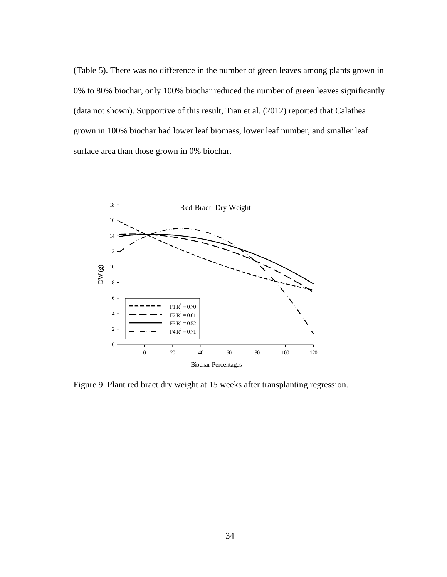(Table 5). There was no difference in the number of green leaves among plants grown in 0% to 80% biochar, only 100% biochar reduced the number of green leaves significantly (data not shown). Supportive of this result, Tian et al. (2012) reported that Calathea grown in 100% biochar had lower leaf biomass, lower leaf number, and smaller leaf surface area than those grown in 0% biochar.



Figure 9. Plant red bract dry weight at 15 weeks after transplanting regression.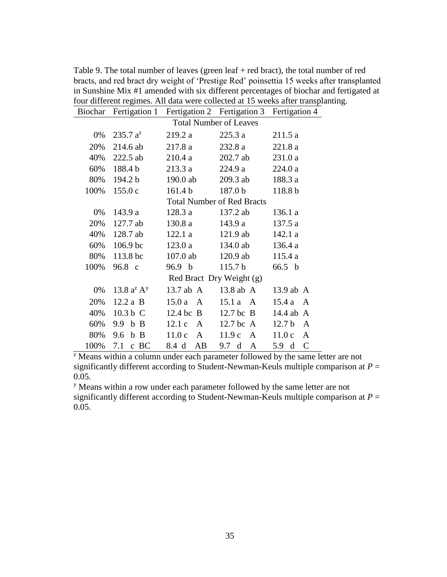| $235.7 a^2$         | 219.2 a            | 225.3a                | 211.5a                                                                                                                                                                                                                                                                                |  |  |  |  |  |  |  |
|---------------------|--------------------|-----------------------|---------------------------------------------------------------------------------------------------------------------------------------------------------------------------------------------------------------------------------------------------------------------------------------|--|--|--|--|--|--|--|
| $214.6$ ab          | 217.8a             | 232.8 a               | 221.8 a                                                                                                                                                                                                                                                                               |  |  |  |  |  |  |  |
| 222.5 ab            | 210.4a             | 202.7 ab              | 231.0 a                                                                                                                                                                                                                                                                               |  |  |  |  |  |  |  |
| 188.4 b             | 213.3a             | 224.9 a               | 224.0 a                                                                                                                                                                                                                                                                               |  |  |  |  |  |  |  |
| 194.2 b             | 190.0 ab           | 209.3 ab              | 188.3 a                                                                                                                                                                                                                                                                               |  |  |  |  |  |  |  |
| 155.0c              | 161.4 <sub>b</sub> | 187.0 b               | 118.8 b                                                                                                                                                                                                                                                                               |  |  |  |  |  |  |  |
|                     |                    |                       |                                                                                                                                                                                                                                                                                       |  |  |  |  |  |  |  |
| 143.9a              | 128.3a             | 137.2 ab              | 136.1 a                                                                                                                                                                                                                                                                               |  |  |  |  |  |  |  |
| $127.7$ ab          | 130.8 a            | 143.9 a               | 137.5 a                                                                                                                                                                                                                                                                               |  |  |  |  |  |  |  |
| 128.7 ab            | 122.1a             | $121.9$ ab            | 142.1 a                                                                                                                                                                                                                                                                               |  |  |  |  |  |  |  |
| 106.9 <sub>bc</sub> | 123.0a             | 134.0 ab              | 136.4a                                                                                                                                                                                                                                                                                |  |  |  |  |  |  |  |
|                     | $107.0$ ab         | $120.9$ ab            | 115.4a                                                                                                                                                                                                                                                                                |  |  |  |  |  |  |  |
| 96.8 c              | 96.9 b             | 115.7 <sub>b</sub>    | 66.5 b                                                                                                                                                                                                                                                                                |  |  |  |  |  |  |  |
|                     |                    |                       |                                                                                                                                                                                                                                                                                       |  |  |  |  |  |  |  |
| 13.8 $a^2 A^y$      |                    | 13.8 ab A             | 13.9 ab A                                                                                                                                                                                                                                                                             |  |  |  |  |  |  |  |
| $12.2a$ B           | $15.0a \quad A$    | $15.1a \quad A$       | 15.4a<br>A                                                                                                                                                                                                                                                                            |  |  |  |  |  |  |  |
| 10.3 b C            |                    | $12.7$ bc B           | 14.4 ab A                                                                                                                                                                                                                                                                             |  |  |  |  |  |  |  |
| 9.9 b B             |                    | $12.7$ bc A           | 12.7 <sub>b</sub><br>A                                                                                                                                                                                                                                                                |  |  |  |  |  |  |  |
| 9.6 b B             | 11.0c A            | 11.9c A               | 11.0c<br>A                                                                                                                                                                                                                                                                            |  |  |  |  |  |  |  |
| 7.1<br>$c$ BC       | AB<br>8.4 d        | 9.7 d<br>$\mathbf{A}$ | $\mathcal{C}$<br>5.9 <sub>d</sub>                                                                                                                                                                                                                                                     |  |  |  |  |  |  |  |
|                     |                    | 113.8 <sub>bc</sub>   | rour unforem regnnes. The unit were conceived in 15 weeks and transplan<br>Biochar Fertigation 1 Fertigation 2 Fertigation 3 Fertigation 4<br><b>Total Number of Leaves</b><br><b>Total Number of Red Bracts</b><br>Red Bract Dry Weight (g)<br>$13.7$ ab A<br>$12.4$ bc B<br>12.1c A |  |  |  |  |  |  |  |

Table 9. The total number of leaves (green leaf + red bract), the total number of red bracts, and red bract dry weight of 'Prestige Red' poinsettia 15 weeks after transplanted in Sunshine Mix #1 amended with six different percentages of biochar and fertigated at four different regimes. All data were collected at 15 weeks after transplanting.

 $\overline{z}$  Means within a column under each parameter followed by the same letter are not significantly different according to Student-Newman-Keuls multiple comparison at  $P =$ 0.05.

<sup>y</sup> Means within a row under each parameter followed by the same letter are not significantly different according to Student-Newman-Keuls multiple comparison at  $P =$ 0.05.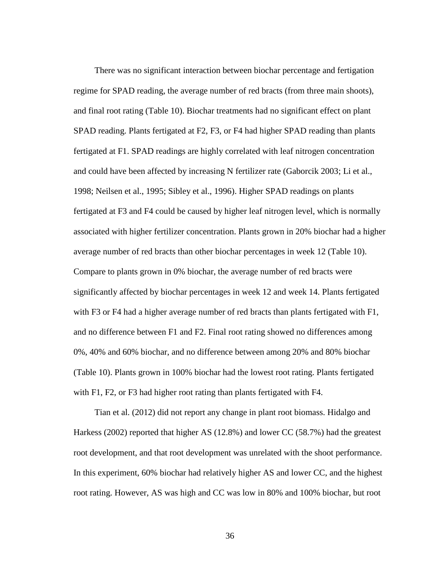There was no significant interaction between biochar percentage and fertigation regime for SPAD reading, the average number of red bracts (from three main shoots), and final root rating (Table 10). Biochar treatments had no significant effect on plant SPAD reading. Plants fertigated at F2, F3, or F4 had higher SPAD reading than plants fertigated at F1. SPAD readings are highly correlated with leaf nitrogen concentration and could have been affected by increasing N fertilizer rate (Gaborcik 2003; Li et al., 1998; Neilsen et al., 1995; Sibley et al., 1996). Higher SPAD readings on plants fertigated at F3 and F4 could be caused by higher leaf nitrogen level, which is normally associated with higher fertilizer concentration. Plants grown in 20% biochar had a higher average number of red bracts than other biochar percentages in week 12 (Table 10). Compare to plants grown in 0% biochar, the average number of red bracts were significantly affected by biochar percentages in week 12 and week 14. Plants fertigated with F3 or F4 had a higher average number of red bracts than plants fertigated with F1, and no difference between F1 and F2. Final root rating showed no differences among 0%, 40% and 60% biochar, and no difference between among 20% and 80% biochar (Table 10). Plants grown in 100% biochar had the lowest root rating. Plants fertigated with F1, F2, or F3 had higher root rating than plants fertigated with F4.

Tian et al. (2012) did not report any change in plant root biomass. Hidalgo and Harkess (2002) reported that higher AS (12.8%) and lower CC (58.7%) had the greatest root development, and that root development was unrelated with the shoot performance. In this experiment, 60% biochar had relatively higher AS and lower CC, and the highest root rating. However, AS was high and CC was low in 80% and 100% biochar, but root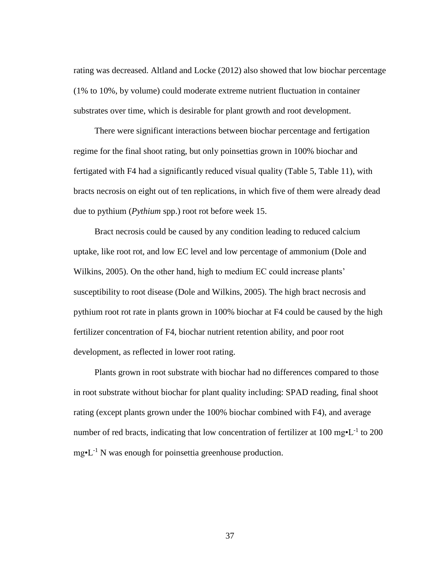rating was decreased. Altland and Locke (2012) also showed that low biochar percentage (1% to 10%, by volume) could moderate extreme nutrient fluctuation in container substrates over time, which is desirable for plant growth and root development.

There were significant interactions between biochar percentage and fertigation regime for the final shoot rating, but only poinsettias grown in 100% biochar and fertigated with F4 had a significantly reduced visual quality (Table 5, Table 11), with bracts necrosis on eight out of ten replications, in which five of them were already dead due to pythium (*Pythium* spp.) root rot before week 15.

Bract necrosis could be caused by any condition leading to reduced calcium uptake, like root rot, and low EC level and low percentage of ammonium (Dole and Wilkins, 2005). On the other hand, high to medium EC could increase plants' susceptibility to root disease (Dole and Wilkins, 2005). The high bract necrosis and pythium root rot rate in plants grown in 100% biochar at F4 could be caused by the high fertilizer concentration of F4, biochar nutrient retention ability, and poor root development, as reflected in lower root rating.

Plants grown in root substrate with biochar had no differences compared to those in root substrate without biochar for plant quality including: SPAD reading, final shoot rating (except plants grown under the 100% biochar combined with F4), and average number of red bracts, indicating that low concentration of fertilizer at  $100 \text{ mg} \cdot L^{-1}$  to  $200$  $mg<sup>*</sup>L<sup>-1</sup>$  N was enough for poinsettia greenhouse production.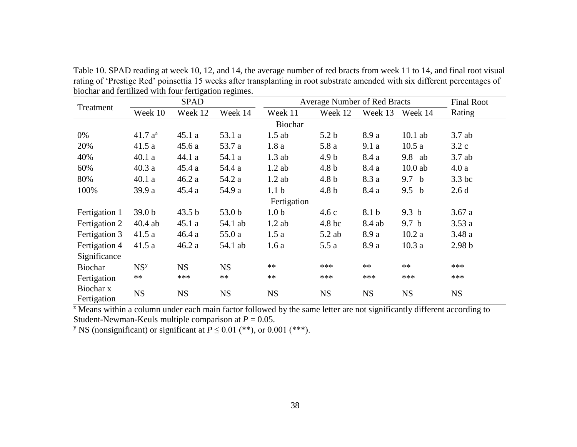Table 10. SPAD reading at week 10, 12, and 14, the average number of red bracts from week 11 to 14, and final root visual rating of 'Prestige Red' poinsettia 15 weeks after transplanting in root substrate amended with six different percentages of biochar and fertilized with four fertigation regimes.

|                          |                   | <b>SPAD</b> | <b>Average Number of Red Bracts</b> |                  | <b>Final Root</b> |           |                  |                   |
|--------------------------|-------------------|-------------|-------------------------------------|------------------|-------------------|-----------|------------------|-------------------|
| Treatment                | Week 10           | Week 12     | Week 14                             | Week 11          | Week 12           | Week 13   | Week 14          | Rating            |
|                          |                   |             |                                     | Biochar          |                   |           |                  |                   |
| 0%                       | $41.7 a^2$        | 45.1a       | 53.1 a                              | $1.5$ ab         | 5.2 <sub>b</sub>  | 8.9 a     | $10.1$ ab        | $3.7$ ab          |
| 20%                      | 41.5a             | 45.6a       | 53.7 a                              | 1.8a             | 5.8a              | 9.1a      | 10.5a            | 3.2c              |
| 40%                      | 40.1a             | 44.1 a      | 54.1 a                              | $1.3$ ab         | 4.9 <sub>b</sub>  | 8.4 a     | 9.8 ab           | 3.7ab             |
| 60%                      | 40.3a             | 45.4a       | 54.4 a                              | $1.2$ ab         | 4.8 <sub>b</sub>  | 8.4 a     | $10.0$ ab        | 4.0a              |
| 80%                      | 40.1a             | 46.2a       | 54.2 a                              | $1.2$ ab         | 4.8 <sub>b</sub>  | 8.3 a     | 9.7 b            | 3.3 bc            |
| 100%                     | 39.9 a            | 45.4a       | 54.9 a                              | 1.1 <sub>b</sub> | 4.8 <sub>b</sub>  | 8.4 a     | 9.5 <sub>b</sub> | 2.6d              |
|                          |                   |             |                                     | Fertigation      |                   |           |                  |                   |
| Fertigation 1            | 39.0 <sub>b</sub> | 43.5 b      | 53.0 b                              | 1.0 <sub>b</sub> | 4.6c              | 8.1 b     | 9.3 <sub>b</sub> | 3.67a             |
| Fertigation 2            | $40.4$ ab         | 45.1a       | 54.1 ab                             | $1.2$ ab         | 4.8 <sub>bc</sub> | 8.4 ab    | 9.7 <sub>b</sub> | 3.53a             |
| Fertigation 3            | 41.5a             | 46.4a       | 55.0 a                              | 1.5a             | $5.2$ ab          | 8.9 a     | 10.2a            | 3.48a             |
| Fertigation 4            | 41.5a             | 46.2a       | 54.1 ab                             | 1.6a             | 5.5a              | 8.9 a     | 10.3a            | 2.98 <sub>b</sub> |
| Significance             |                   |             |                                     |                  |                   |           |                  |                   |
| <b>Biochar</b>           | NS <sup>y</sup>   | <b>NS</b>   | <b>NS</b>                           | $**$             | ***               | $**$      | $**$             | ***               |
| Fertigation              | $***$             | ***         | $**$                                | $**$             | ***               | ***       | ***              | ***               |
| Biochar x<br>Fertigation | <b>NS</b>         | <b>NS</b>   | <b>NS</b>                           | <b>NS</b>        | <b>NS</b>         | <b>NS</b> | <b>NS</b>        | <b>NS</b>         |

 $\overline{z}$  Means within a column under each main factor followed by the same letter are not significantly different according to Student-Newman-Keuls multiple comparison at  $P = 0.05$ .

<sup>y</sup> NS (nonsignificant) or significant at  $P \leq 0.01$  (\*\*), or 0.001 (\*\*\*).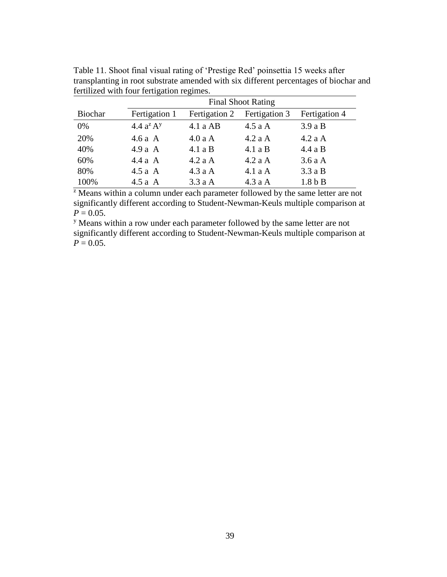|                | <b>Final Shoot Rating</b> |               |               |               |  |  |  |  |  |
|----------------|---------------------------|---------------|---------------|---------------|--|--|--|--|--|
| <b>Biochar</b> | Fertigation 1             | Fertigation 2 | Fertigation 3 | Fertigation 4 |  |  |  |  |  |
| 0%             | 4.4 $a^2 A^y$             | $4.1a$ AB     | 4.5aA         | 3.9aB         |  |  |  |  |  |
| 20%            | 4.6 a $A$                 | 4.0aA         | 4.2aA         | 4.2aA         |  |  |  |  |  |
| 40%            | $4.9a \text{ A}$          | 4.1aB         | 4.1aB         | 4.4aB         |  |  |  |  |  |
| 60%            | 4.4aA                     | $4.2a$ A      | 4.2aA         | 3.6aA         |  |  |  |  |  |
| 80%            | 4.5 a $A$                 | 4.3aA         | 4.1aA         | 3.3aB         |  |  |  |  |  |
| 100%           | $4.5a \text{ A}$          | 3.3aA         | 4.3aA         | $1.8b$ B      |  |  |  |  |  |

Table 11. Shoot final visual rating of 'Prestige Red' poinsettia 15 weeks after transplanting in root substrate amended with six different percentages of biochar and fertilized with four fertigation regimes.

<sup>z</sup> Means within a column under each parameter followed by the same letter are not significantly different according to Student-Newman-Keuls multiple comparison at  $P = 0.05$ .

<sup>y</sup> Means within a row under each parameter followed by the same letter are not significantly different according to Student-Newman-Keuls multiple comparison at  $P = 0.05$ .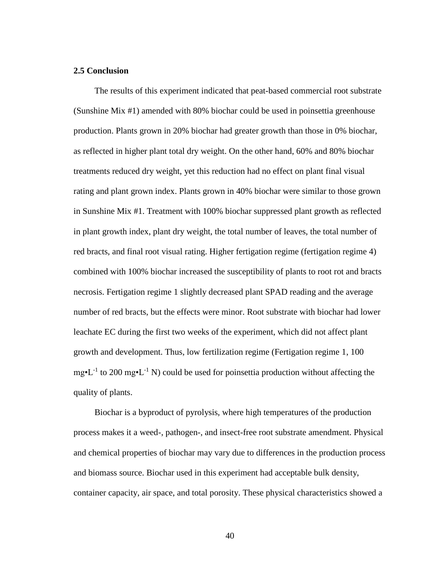## **2.5 Conclusion**

The results of this experiment indicated that peat-based commercial root substrate (Sunshine Mix #1) amended with 80% biochar could be used in poinsettia greenhouse production. Plants grown in 20% biochar had greater growth than those in 0% biochar, as reflected in higher plant total dry weight. On the other hand, 60% and 80% biochar treatments reduced dry weight, yet this reduction had no effect on plant final visual rating and plant grown index. Plants grown in 40% biochar were similar to those grown in Sunshine Mix #1. Treatment with 100% biochar suppressed plant growth as reflected in plant growth index, plant dry weight, the total number of leaves, the total number of red bracts, and final root visual rating. Higher fertigation regime (fertigation regime 4) combined with 100% biochar increased the susceptibility of plants to root rot and bracts necrosis. Fertigation regime 1 slightly decreased plant SPAD reading and the average number of red bracts, but the effects were minor. Root substrate with biochar had lower leachate EC during the first two weeks of the experiment, which did not affect plant growth and development. Thus, low fertilization regime (Fertigation regime 1, 100  $mg<sup>\bullet</sup>L<sup>-1</sup>$  to 200 mg $\bullet$ L<sup>-1</sup> N) could be used for poinsettia production without affecting the quality of plants.

Biochar is a byproduct of pyrolysis, where high temperatures of the production process makes it a weed-, pathogen-, and insect-free root substrate amendment. Physical and chemical properties of biochar may vary due to differences in the production process and biomass source. Biochar used in this experiment had acceptable bulk density, container capacity, air space, and total porosity. These physical characteristics showed a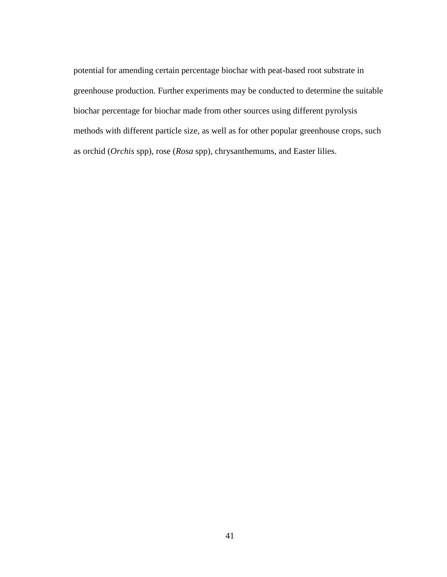potential for amending certain percentage biochar with peat-based root substrate in greenhouse production. Further experiments may be conducted to determine the suitable biochar percentage for biochar made from other sources using different pyrolysis methods with different particle size, as well as for other popular greenhouse crops, such as orchid (*Orchis* spp), rose (*Rosa* spp), chrysanthemums, and Easter lilies.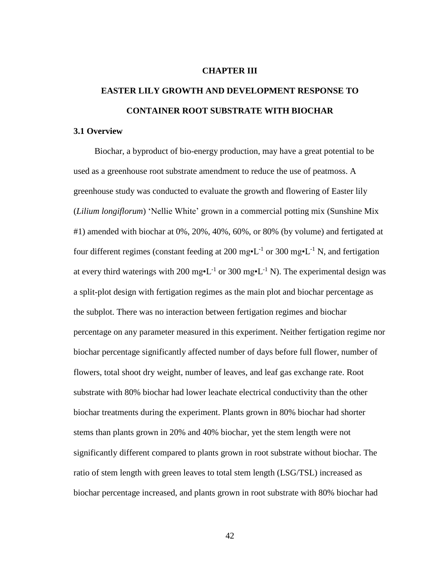#### **CHAPTER III**

# **EASTER LILY GROWTH AND DEVELOPMENT RESPONSE TO CONTAINER ROOT SUBSTRATE WITH BIOCHAR**

#### **3.1 Overview**

Biochar, a byproduct of bio-energy production, may have a great potential to be used as a greenhouse root substrate amendment to reduce the use of peatmoss. A greenhouse study was conducted to evaluate the growth and flowering of Easter lily (*Lilium longiflorum*) 'Nellie White' grown in a commercial potting mix (Sunshine Mix #1) amended with biochar at 0%, 20%, 40%, 60%, or 80% (by volume) and fertigated at four different regimes (constant feeding at 200 mg $\cdot L^{-1}$  or 300 mg $\cdot L^{-1}$  N, and fertigation at every third waterings with 200 mg $\cdot L^{-1}$  or 300 mg $\cdot L^{-1}$  N). The experimental design was a split-plot design with fertigation regimes as the main plot and biochar percentage as the subplot. There was no interaction between fertigation regimes and biochar percentage on any parameter measured in this experiment. Neither fertigation regime nor biochar percentage significantly affected number of days before full flower, number of flowers, total shoot dry weight, number of leaves, and leaf gas exchange rate. Root substrate with 80% biochar had lower leachate electrical conductivity than the other biochar treatments during the experiment. Plants grown in 80% biochar had shorter stems than plants grown in 20% and 40% biochar, yet the stem length were not significantly different compared to plants grown in root substrate without biochar. The ratio of stem length with green leaves to total stem length (LSG/TSL) increased as biochar percentage increased, and plants grown in root substrate with 80% biochar had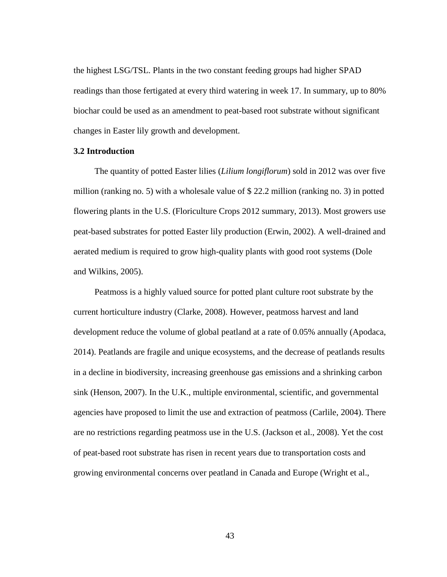the highest LSG/TSL. Plants in the two constant feeding groups had higher SPAD readings than those fertigated at every third watering in week 17. In summary, up to 80% biochar could be used as an amendment to peat-based root substrate without significant changes in Easter lily growth and development.

## **3.2 Introduction**

The quantity of potted Easter lilies (*Lilium longiflorum*) sold in 2012 was over five million (ranking no. 5) with a wholesale value of \$ 22.2 million (ranking no. 3) in potted flowering plants in the U.S. (Floriculture Crops 2012 summary, 2013). Most growers use peat-based substrates for potted Easter lily production (Erwin, 2002). A well-drained and aerated medium is required to grow high-quality plants with good root systems (Dole and Wilkins, 2005).

Peatmoss is a highly valued source for potted plant culture root substrate by the current horticulture industry (Clarke, 2008). However, peatmoss harvest and land development reduce the volume of global peatland at a rate of 0.05% annually (Apodaca, 2014). Peatlands are fragile and unique ecosystems, and the decrease of peatlands results in a decline in biodiversity, increasing greenhouse gas emissions and a shrinking carbon sink (Henson, 2007). In the U.K., multiple environmental, scientific, and governmental agencies have proposed to limit the use and extraction of peatmoss (Carlile, 2004). There are no restrictions regarding peatmoss use in the U.S. (Jackson et al., 2008). Yet the cost of peat-based root substrate has risen in recent years due to transportation costs and growing environmental concerns over peatland in Canada and Europe (Wright et al.,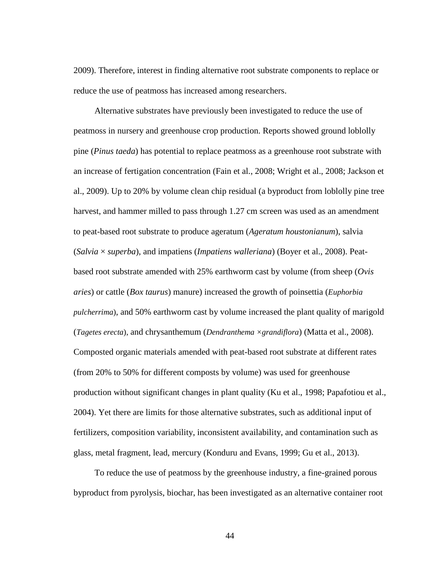2009). Therefore, interest in finding alternative root substrate components to replace or reduce the use of peatmoss has increased among researchers.

Alternative substrates have previously been investigated to reduce the use of peatmoss in nursery and greenhouse crop production. Reports showed ground loblolly pine (*Pinus taeda*) has potential to replace peatmoss as a greenhouse root substrate with an increase of fertigation concentration (Fain et al., 2008; Wright et al., 2008; Jackson et al., 2009). Up to 20% by volume clean chip residual (a byproduct from loblolly pine tree harvest, and hammer milled to pass through 1.27 cm screen was used as an amendment to peat-based root substrate to produce ageratum (*Ageratum houstonianum*), salvia (*Salvia* × *superba*), and impatiens (*Impatiens walleriana*) (Boyer et al., 2008). Peatbased root substrate amended with 25% earthworm cast by volume (from sheep (*Ovis aries*) or cattle (*Box taurus*) manure) increased the growth of poinsettia (*Euphorbia pulcherrima*), and 50% earthworm cast by volume increased the plant quality of marigold (*Tagetes erecta*), and chrysanthemum (*Dendranthema ×grandiflora*) (Matta et al., 2008). Composted organic materials amended with peat-based root substrate at different rates (from 20% to 50% for different composts by volume) was used for greenhouse production without significant changes in plant quality (Ku et al., 1998; Papafotiou et al., 2004). Yet there are limits for those alternative substrates, such as additional input of fertilizers, composition variability, inconsistent availability, and contamination such as glass, metal fragment, lead, mercury (Konduru and Evans, 1999; Gu et al., 2013).

To reduce the use of peatmoss by the greenhouse industry, a fine-grained porous byproduct from pyrolysis, biochar, has been investigated as an alternative container root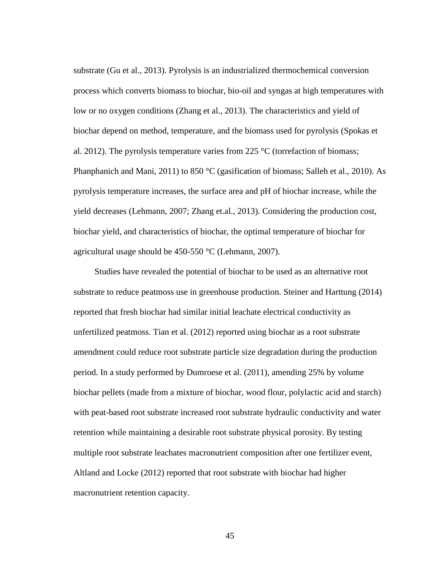substrate (Gu et al., 2013). Pyrolysis is an industrialized thermochemical conversion process which converts biomass to biochar, bio-oil and syngas at high temperatures with low or no oxygen conditions (Zhang et al., 2013). The characteristics and yield of biochar depend on method, temperature, and the biomass used for pyrolysis (Spokas et al. 2012). The pyrolysis temperature varies from 225 °C (torrefaction of biomass; Phanphanich and Mani, 2011) to 850 °C (gasification of biomass; Salleh et al., 2010). As pyrolysis temperature increases, the surface area and pH of biochar increase, while the yield decreases (Lehmann, 2007; Zhang et.al., 2013). Considering the production cost, biochar yield, and characteristics of biochar, the optimal temperature of biochar for agricultural usage should be 450-550 °C (Lehmann, 2007).

Studies have revealed the potential of biochar to be used as an alternative root substrate to reduce peatmoss use in greenhouse production. Steiner and Harttung (2014) reported that fresh biochar had similar initial leachate electrical conductivity as unfertilized peatmoss. Tian et al. (2012) reported using biochar as a root substrate amendment could reduce root substrate particle size degradation during the production period. In a study performed by Dumroese et al. (2011), amending 25% by volume biochar pellets (made from a mixture of biochar, wood flour, polylactic acid and starch) with peat-based root substrate increased root substrate hydraulic conductivity and water retention while maintaining a desirable root substrate physical porosity. By testing multiple root substrate leachates macronutrient composition after one fertilizer event, Altland and Locke (2012) reported that root substrate with biochar had higher macronutrient retention capacity.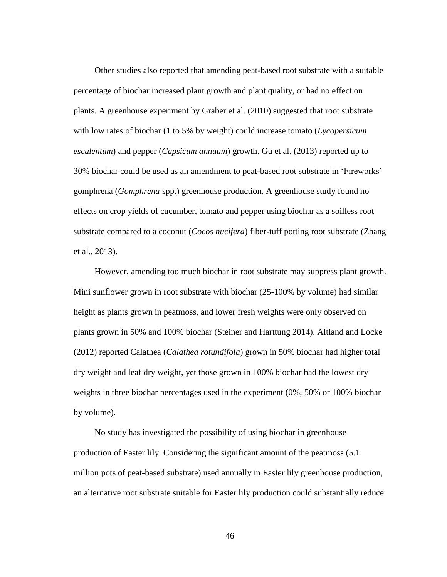Other studies also reported that amending peat-based root substrate with a suitable percentage of biochar increased plant growth and plant quality, or had no effect on plants. A greenhouse experiment by Graber et al. (2010) suggested that root substrate with low rates of biochar (1 to 5% by weight) could increase tomato (*Lycopersicum esculentum*) and pepper (*Capsicum annuum*) growth. Gu et al. (2013) reported up to 30% biochar could be used as an amendment to peat-based root substrate in 'Fireworks' gomphrena (*Gomphrena* spp.) greenhouse production. A greenhouse study found no effects on crop yields of cucumber, tomato and pepper using biochar as a soilless root substrate compared to a coconut (*Cocos nucifera*) fiber-tuff potting root substrate (Zhang et al., 2013).

However, amending too much biochar in root substrate may suppress plant growth. Mini sunflower grown in root substrate with biochar (25-100% by volume) had similar height as plants grown in peatmoss, and lower fresh weights were only observed on plants grown in 50% and 100% biochar (Steiner and Harttung 2014). Altland and Locke (2012) reported Calathea (*Calathea rotundifola*) grown in 50% biochar had higher total dry weight and leaf dry weight, yet those grown in 100% biochar had the lowest dry weights in three biochar percentages used in the experiment (0%, 50% or 100% biochar by volume).

No study has investigated the possibility of using biochar in greenhouse production of Easter lily. Considering the significant amount of the peatmoss (5.1 million pots of peat-based substrate) used annually in Easter lily greenhouse production, an alternative root substrate suitable for Easter lily production could substantially reduce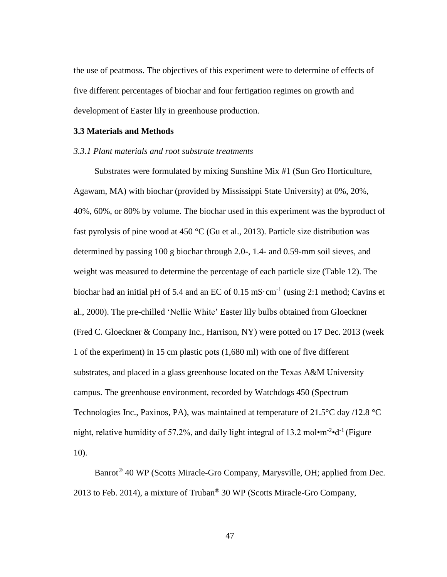the use of peatmoss. The objectives of this experiment were to determine of effects of five different percentages of biochar and four fertigation regimes on growth and development of Easter lily in greenhouse production.

#### **3.3 Materials and Methods**

#### *3.3.1 Plant materials and root substrate treatments*

Substrates were formulated by mixing Sunshine Mix #1 (Sun Gro Horticulture, Agawam, MA) with biochar (provided by Mississippi State University) at 0%, 20%, 40%, 60%, or 80% by volume. The biochar used in this experiment was the byproduct of fast pyrolysis of pine wood at 450 °C (Gu et al., 2013). Particle size distribution was determined by passing 100 g biochar through 2.0-, 1.4- and 0.59-mm soil sieves, and weight was measured to determine the percentage of each particle size (Table 12). The biochar had an initial pH of 5.4 and an EC of  $0.15 \text{ mS} \cdot \text{cm}^{-1}$  (using 2:1 method; Cavins et al., 2000). The pre-chilled 'Nellie White' Easter lily bulbs obtained from Gloeckner (Fred C. Gloeckner & Company Inc., Harrison, NY) were potted on 17 Dec. 2013 (week 1 of the experiment) in 15 cm plastic pots (1,680 ml) with one of five different substrates, and placed in a glass greenhouse located on the Texas A&M University campus. The greenhouse environment, recorded by Watchdogs 450 (Spectrum Technologies Inc., Paxinos, PA), was maintained at temperature of 21.5°C day /12.8 °C night, relative humidity of 57.2%, and daily light integral of 13.2 mol $\cdot$ m<sup>-2</sup> $\cdot$ d<sup>-1</sup> (Figure 10).

Banrot® 40 WP (Scotts Miracle-Gro Company, Marysville, OH; applied from Dec. 2013 to Feb. 2014), a mixture of Truban® 30 WP (Scotts Miracle-Gro Company,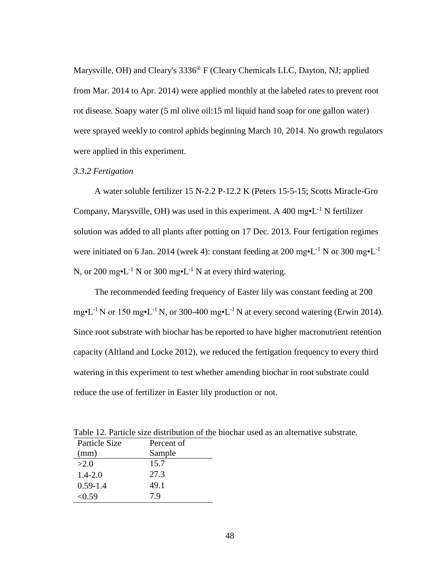Marysville, OH) and Cleary's 3336® F (Cleary Chemicals LLC, Dayton, NJ; applied from Mar. 2014 to Apr. 2014) were applied monthly at the labeled rates to prevent root rot disease. Soapy water (5 ml olive oil:15 ml liquid hand soap for one gallon water) were sprayed weekly to control aphids beginning March 10, 2014. No growth regulators were applied in this experiment.

#### *3.3.2 Fertigation*

A water soluble fertilizer 15 N-2.2 P-12.2 K (Peters 15-5-15; Scotts Miracle-Gro Company, Marysville, OH) was used in this experiment. A 400 mg $\cdot L^{-1}$  N fertilizer solution was added to all plants after potting on 17 Dec. 2013. Four fertigation regimes were initiated on 6 Jan. 2014 (week 4): constant feeding at 200 mg $\cdot$ L<sup>-1</sup> N or 300 mg $\cdot$ L<sup>-1</sup> N, or 200 mg•L<sup>-1</sup> N or 300 mg•L<sup>-1</sup> N at every third watering.

The recommended feeding frequency of Easter lily was constant feeding at 200 mg•L<sup>-1</sup> N or 150 mg•L<sup>-1</sup> N, or 300-400 mg•L<sup>-1</sup> N at every second watering (Erwin 2014). Since root substrate with biochar has be reported to have higher macronutrient retention capacity (Altland and Locke 2012), we reduced the fertigation frequency to every third watering in this experiment to test whether amending biochar in root substrate could reduce the use of fertilizer in Easter lily production or not.

| Percent of |  |
|------------|--|
| Sample     |  |
| 15.7       |  |
| 27.3       |  |
| 49.1       |  |
| 7.9        |  |
|            |  |

Table 12. Particle size distribution of the biochar used as an alternative substrate.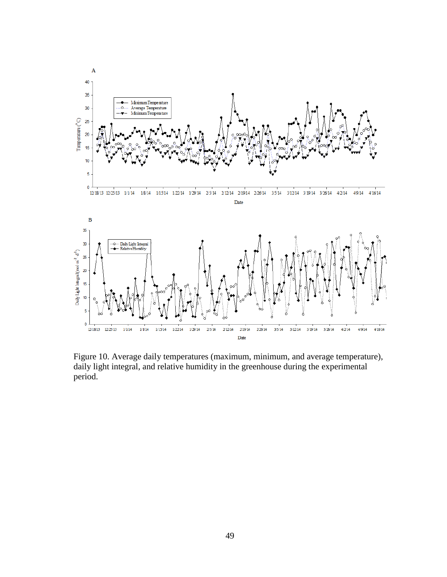

Figure 10. Average daily temperatures (maximum, minimum, and average temperature), daily light integral, and relative humidity in the greenhouse during the experimental period.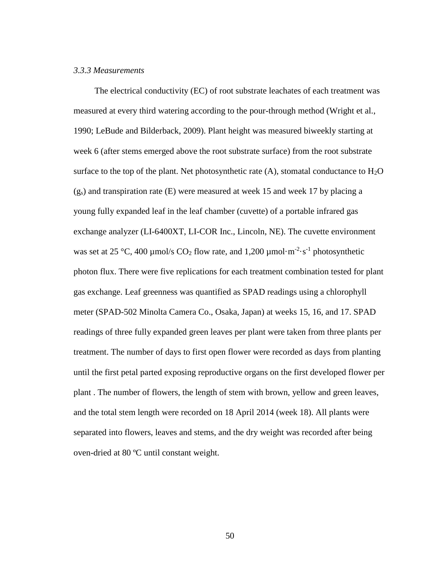## *3.3.3 Measurements*

The electrical conductivity (EC) of root substrate leachates of each treatment was measured at every third watering according to the pour-through method (Wright et al., 1990; LeBude and Bilderback, 2009). Plant height was measured biweekly starting at week 6 (after stems emerged above the root substrate surface) from the root substrate surface to the top of the plant. Net photosynthetic rate  $(A)$ , stomatal conductance to  $H_2O$  $(g<sub>s</sub>)$  and transpiration rate (E) were measured at week 15 and week 17 by placing a young fully expanded leaf in the leaf chamber (cuvette) of a portable infrared gas exchange analyzer (LI-6400XT, LI-COR Inc., Lincoln, NE). The cuvette environment was set at 25 °C, 400 µmol/s  $CO_2$  flow rate, and 1,200 µmol·m<sup>-2</sup>·s<sup>-1</sup> photosynthetic photon flux. There were five replications for each treatment combination tested for plant gas exchange. Leaf greenness was quantified as SPAD readings using a chlorophyll meter (SPAD-502 Minolta Camera Co., Osaka, Japan) at weeks 15, 16, and 17. SPAD readings of three fully expanded green leaves per plant were taken from three plants per treatment. The number of days to first open flower were recorded as days from planting until the first petal parted exposing reproductive organs on the first developed flower per plant . The number of flowers, the length of stem with brown, yellow and green leaves, and the total stem length were recorded on 18 April 2014 (week 18). All plants were separated into flowers, leaves and stems, and the dry weight was recorded after being oven-dried at 80 ºC until constant weight.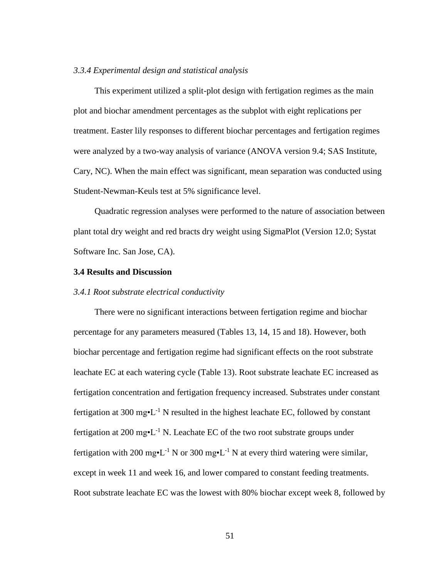# *3.3.4 Experimental design and statistical analysis*

This experiment utilized a split-plot design with fertigation regimes as the main plot and biochar amendment percentages as the subplot with eight replications per treatment. Easter lily responses to different biochar percentages and fertigation regimes were analyzed by a two-way analysis of variance (ANOVA version 9.4; SAS Institute, Cary, NC). When the main effect was significant, mean separation was conducted using Student-Newman-Keuls test at 5% significance level.

Quadratic regression analyses were performed to the nature of association between plant total dry weight and red bracts dry weight using SigmaPlot (Version 12.0; Systat Software Inc. San Jose, CA).

## **3.4 Results and Discussion**

## *3.4.1 Root substrate electrical conductivity*

There were no significant interactions between fertigation regime and biochar percentage for any parameters measured (Tables 13, 14, 15 and 18). However, both biochar percentage and fertigation regime had significant effects on the root substrate leachate EC at each watering cycle (Table 13). Root substrate leachate EC increased as fertigation concentration and fertigation frequency increased. Substrates under constant fertigation at 300 mg $\cdot$ L<sup>-1</sup> N resulted in the highest leachate EC, followed by constant fertigation at 200 mg• $L^{-1}$  N. Leachate EC of the two root substrate groups under fertigation with 200 mg•L<sup>-1</sup> N or 300 mg•L<sup>-1</sup> N at every third watering were similar, except in week 11 and week 16, and lower compared to constant feeding treatments. Root substrate leachate EC was the lowest with 80% biochar except week 8, followed by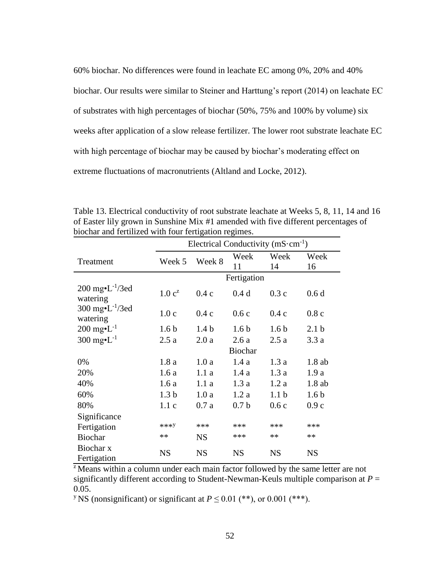60% biochar. No differences were found in leachate EC among 0%, 20% and 40% biochar. Our results were similar to Steiner and Harttung's report (2014) on leachate EC of substrates with high percentages of biochar (50%, 75% and 100% by volume) six weeks after application of a slow release fertilizer. The lower root substrate leachate EC with high percentage of biochar may be caused by biochar's moderating effect on extreme fluctuations of macronutrients (Altland and Locke, 2012).

|                                                | Electrical Conductivity $(mS \cdot cm^{-1})$ |                  |                  |                  |                  |  |  |  |
|------------------------------------------------|----------------------------------------------|------------------|------------------|------------------|------------------|--|--|--|
| Treatment                                      | Week 5                                       | Week 8           | Week             | Week             | Week             |  |  |  |
|                                                |                                              |                  | 11               | 14               | 16               |  |  |  |
|                                                |                                              |                  |                  |                  |                  |  |  |  |
| $200 \text{ mg} \cdot L^{-1}/3$ ed<br>watering | 1.0 c <sup>z</sup>                           | 0.4c             | 0.4d             | 0.3c             | 0.6d             |  |  |  |
| 300 mg $\text{-}L^{-1}/3$ ed<br>watering       | 1.0c                                         | 0.4c             | 0.6c             | 0.4c             | 0.8c             |  |  |  |
| $200 \text{ mg} \cdot L^{-1}$                  | 1.6 <sub>b</sub>                             | 1.4 <sub>b</sub> | 1.6 <sub>b</sub> | 1.6 <sub>b</sub> | 2.1 <sub>b</sub> |  |  |  |
| 300 mg $\cdot L^{-1}$                          | 2.5a                                         | 2.0a             | 2.6a             | 2.5a             | 3.3a             |  |  |  |
|                                                |                                              |                  | <b>Biochar</b>   |                  |                  |  |  |  |
| 0%                                             | 1.8a                                         | 1.0a             | 1.4a             | 1.3a             | 1.8ab            |  |  |  |
| 20%                                            | 1.6a                                         | 1.1a             | 1.4a             | 1.3a             | 1.9a             |  |  |  |
| 40%                                            | 1.6a                                         | 1.1a             | 1.3a             | 1.2a             | 1.8ab            |  |  |  |
| 60%                                            | 1.3 <sub>b</sub>                             | 1.0a             | 1.2a             | 1.1 <sub>b</sub> | 1.6 <sub>b</sub> |  |  |  |
| 80%                                            | 1.1c                                         | 0.7a             | 0.7 <sub>b</sub> | 0.6c             | 0.9c             |  |  |  |
| Significance                                   |                                              |                  |                  |                  |                  |  |  |  |
| Fertigation                                    | ***Y                                         | ***              | ***              | ***              | ***              |  |  |  |
| <b>Biochar</b>                                 | **                                           | <b>NS</b>        | ***              | $**$             | $**$             |  |  |  |
| Biochar x<br>Fertigation                       | <b>NS</b>                                    | <b>NS</b>        | <b>NS</b>        | <b>NS</b>        | <b>NS</b>        |  |  |  |

Table 13. Electrical conductivity of root substrate leachate at Weeks 5, 8, 11, 14 and 16 of Easter lily grown in Sunshine Mix #1 amended with five different percentages of biochar and fertilized with four fertigation regimes.

<sup>z</sup> Means within a column under each main factor followed by the same letter are not significantly different according to Student-Newman-Keuls multiple comparison at *P* = 0.05.

<sup>y</sup>NS (nonsignificant) or significant at  $P \leq 0.01$  (\*\*), or 0.001 (\*\*\*).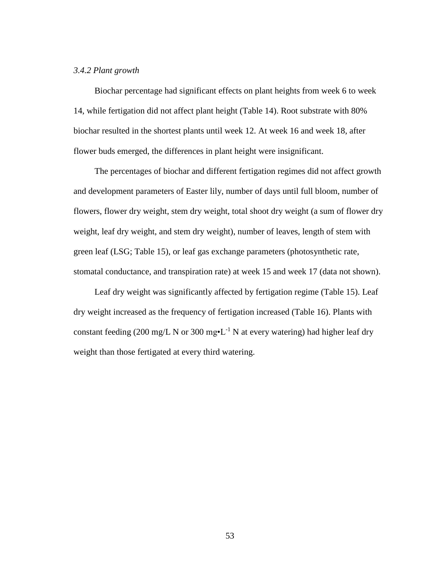## *3.4.2 Plant growth*

Biochar percentage had significant effects on plant heights from week 6 to week 14, while fertigation did not affect plant height (Table 14). Root substrate with 80% biochar resulted in the shortest plants until week 12. At week 16 and week 18, after flower buds emerged, the differences in plant height were insignificant.

The percentages of biochar and different fertigation regimes did not affect growth and development parameters of Easter lily, number of days until full bloom, number of flowers, flower dry weight, stem dry weight, total shoot dry weight (a sum of flower dry weight, leaf dry weight, and stem dry weight), number of leaves, length of stem with green leaf (LSG; Table 15), or leaf gas exchange parameters (photosynthetic rate, stomatal conductance, and transpiration rate) at week 15 and week 17 (data not shown).

Leaf dry weight was significantly affected by fertigation regime (Table 15). Leaf dry weight increased as the frequency of fertigation increased (Table 16). Plants with constant feeding (200 mg/L N or 300 mg•L<sup>-1</sup> N at every watering) had higher leaf dry weight than those fertigated at every third watering.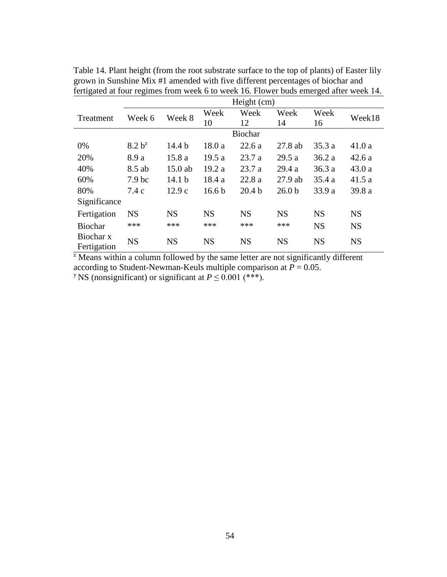|                          | Height (cm)        |                   |                   |                   |                   |           |           |  |
|--------------------------|--------------------|-------------------|-------------------|-------------------|-------------------|-----------|-----------|--|
| Treatment                | Week 6             | Week 8            | Week              | Week              | Week              | Week      | Week18    |  |
|                          |                    |                   | 10                | 12                | 14                | 16        |           |  |
|                          |                    |                   |                   | <b>Biochar</b>    |                   |           |           |  |
| 0%                       | 8.2 b <sup>z</sup> | 14.4 <sub>b</sub> | 18.0a             | 22.6a             | $27.8$ ab         | 35.3a     | 41.0a     |  |
| 20%                      | 8.9 a              | 15.8a             | 19.5a             | 23.7a             | 29.5a             | 36.2a     | 42.6a     |  |
| 40%                      | 8.5 ab             | 15.0 ab           | 19.2a             | 23.7a             | 29.4a             | 36.3a     | 43.0a     |  |
| 60%                      | 7.9 <sub>bc</sub>  | 14.1 <sub>b</sub> | 18.4a             | 22.8a             | $27.9$ ab         | 35.4a     | 41.5a     |  |
| 80%                      | 7.4c               | 12.9c             | 16.6 <sub>b</sub> | 20.4 <sub>b</sub> | 26.0 <sub>b</sub> | 33.9 a    | 39.8 a    |  |
| Significance             |                    |                   |                   |                   |                   |           |           |  |
| Fertigation              | <b>NS</b>          | <b>NS</b>         | <b>NS</b>         | <b>NS</b>         | <b>NS</b>         | <b>NS</b> | <b>NS</b> |  |
| <b>Biochar</b>           | ***                | ***               | ***               | ***               | ***               | <b>NS</b> | <b>NS</b> |  |
| Biochar x<br>Fertigation | <b>NS</b>          | <b>NS</b>         | <b>NS</b>         | <b>NS</b>         | <b>NS</b>         | <b>NS</b> | <b>NS</b> |  |

Table 14. Plant height (from the root substrate surface to the top of plants) of Easter lily grown in Sunshine Mix #1 amended with five different percentages of biochar and fertigated at four regimes from week 6 to week 16. Flower buds emerged after week 14.

 $\overline{z}$  Means within a column followed by the same letter are not significantly different according to Student-Newman-Keuls multiple comparison at  $\ddot{P} = 0.05$ . <sup>y</sup> NS (nonsignificant) or significant at  $P \le 0.001$  (\*\*\*).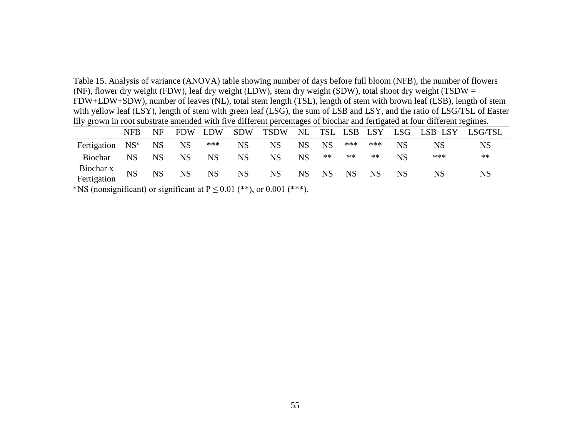Table 15. Analysis of variance (ANOVA) table showing number of days before full bloom (NFB), the number of flowers (NF), flower dry weight (FDW), leaf dry weight (LDW), stem dry weight (SDW), total shoot dry weight (TSDW = FDW+LDW+SDW), number of leaves (NL), total stem length (TSL), length of stem with brown leaf (LSB), length of stem with yellow leaf (LSY), length of stem with green leaf (LSG), the sum of LSB and LSY, and the ratio of LSG/TSL of Easter lily grown in root substrate amended with five different percentages of biochar and fertigated at four different regimes.

|                          | <b>NFB</b> | NF        | <b>FDW</b> | LDW       | <b>SDW</b> | <b>TSDW</b> |           |            |           | NL TSL LSB LSY |    | LSG LSB+LSY LSG/TSL |           |
|--------------------------|------------|-----------|------------|-----------|------------|-------------|-----------|------------|-----------|----------------|----|---------------------|-----------|
| Fertigation $NS^z$       |            | <b>NS</b> | <b>NS</b>  | ***       | <b>NS</b>  | <b>NS</b>   | <b>NS</b> | <b>NS</b>  | ***       | ***            | NS | NS                  | <b>NS</b> |
| Biochar                  | <b>NS</b>  | <b>NS</b> | NS         | <b>NS</b> | <b>NS</b>  | NS.         | <b>NS</b> | $\ast\ast$ | **        | **             | NS | ***                 | $**$      |
| Biochar x<br>Fertigation | <b>NS</b>  | <b>NS</b> | <b>NS</b>  | <b>NS</b> | <b>NS</b>  | <b>NS</b>   | <b>NS</b> | <b>NS</b>  | <b>NS</b> | <b>NS</b>      | NS | NS                  | NS        |

<sup>z</sup>NS (nonsignificant) or significant at  $P \le 0.01$  (\*\*), or 0.001 (\*\*\*).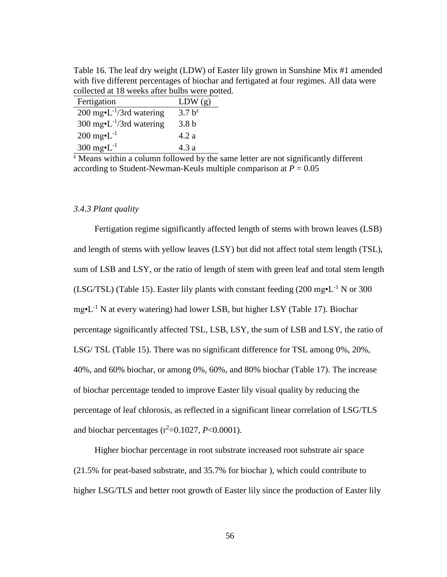Table 16. The leaf dry weight (LDW) of Easter lily grown in Sunshine Mix #1 amended with five different percentages of biochar and fertigated at four regimes. All data were collected at 18 weeks after bulbs were potted.

| Fertigation                                  | LDW(g)           |
|----------------------------------------------|------------------|
| 200 mg $\cdot$ L <sup>-1</sup> /3rd watering | $3.7 b^{z}$      |
| 300 mg $\cdot$ L <sup>-1</sup> /3rd watering | 3.8 <sub>b</sub> |
| $200 \text{ mg} \cdot L^{-1}$                | 4.2a             |
| 300 mg $\cdot L^{-1}$                        | 4.3a             |

 $\overline{z}$  Means within a column followed by the same letter are not significantly different according to Student-Newman-Keuls multiple comparison at  $P = 0.05$ 

#### *3.4.3 Plant quality*

Fertigation regime significantly affected length of stems with brown leaves (LSB) and length of stems with yellow leaves (LSY) but did not affect total stem length (TSL), sum of LSB and LSY, or the ratio of length of stem with green leaf and total stem length (LSG/TSL) (Table 15). Easter lily plants with constant feeding  $(200 \text{ mg} \cdot \text{L}^{-1} \text{ N or } 300$  $mg<sup>•</sup>L<sup>-1</sup>$  N at every watering) had lower LSB, but higher LSY (Table 17). Biochar percentage significantly affected TSL, LSB, LSY, the sum of LSB and LSY, the ratio of LSG/ TSL (Table 15). There was no significant difference for TSL among 0%, 20%, 40%, and 60% biochar, or among 0%, 60%, and 80% biochar (Table 17). The increase of biochar percentage tended to improve Easter lily visual quality by reducing the percentage of leaf chlorosis, as reflected in a significant linear correlation of LSG/TLS and biochar percentages  $(r^2=0.1027, P<0.0001)$ .

Higher biochar percentage in root substrate increased root substrate air space (21.5% for peat-based substrate, and 35.7% for biochar ), which could contribute to higher LSG/TLS and better root growth of Easter lily since the production of Easter lily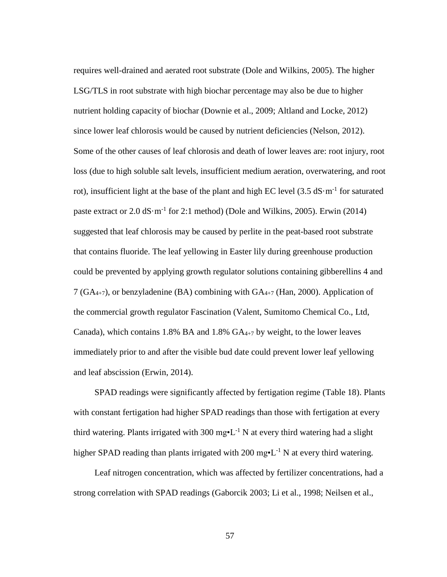requires well-drained and aerated root substrate (Dole and Wilkins, 2005). The higher LSG/TLS in root substrate with high biochar percentage may also be due to higher nutrient holding capacity of biochar (Downie et al., 2009; Altland and Locke, 2012) since lower leaf chlorosis would be caused by nutrient deficiencies (Nelson, 2012). Some of the other causes of leaf chlorosis and death of lower leaves are: root injury, root loss (due to high soluble salt levels, insufficient medium aeration, overwatering, and root rot), insufficient light at the base of the plant and high EC level  $(3.5 \text{ dS} \cdot \text{m}^{-1})$  for saturated paste extract or  $2.0 \text{ dS} \cdot \text{m}^{-1}$  for  $2.1 \text{ method}$ ) (Dole and Wilkins, 2005). Erwin (2014) suggested that leaf chlorosis may be caused by perlite in the peat-based root substrate that contains fluoride. The leaf yellowing in Easter lily during greenhouse production could be prevented by applying growth regulator solutions containing gibberellins 4 and 7 ( $GA_{4+7}$ ), or benzyladenine (BA) combining with  $GA_{4+7}$  (Han, 2000). Application of the commercial growth regulator Fascination (Valent, Sumitomo Chemical Co., Ltd, Canada), which contains 1.8% BA and 1.8%  $GA_{4+7}$  by weight, to the lower leaves immediately prior to and after the visible bud date could prevent lower leaf yellowing and leaf abscission (Erwin, 2014).

SPAD readings were significantly affected by fertigation regime (Table 18). Plants with constant fertigation had higher SPAD readings than those with fertigation at every third watering. Plants irrigated with 300 mg $\cdot L^{-1}$  N at every third watering had a slight higher SPAD reading than plants irrigated with 200 mg $\cdot L^{-1}$  N at every third watering.

Leaf nitrogen concentration, which was affected by fertilizer concentrations, had a strong correlation with SPAD readings (Gaborcik 2003; Li et al., 1998; Neilsen et al.,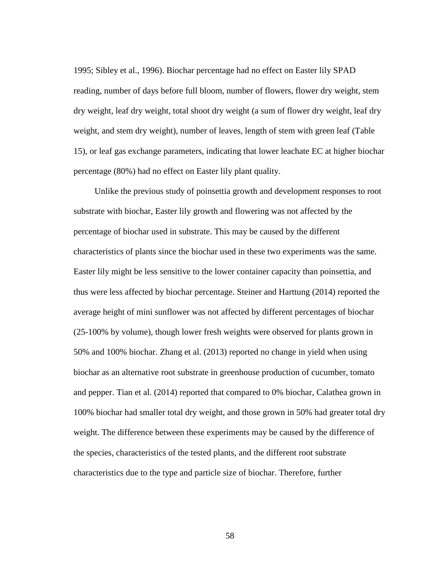1995; Sibley et al., 1996). Biochar percentage had no effect on Easter lily SPAD reading, number of days before full bloom, number of flowers, flower dry weight, stem dry weight, leaf dry weight, total shoot dry weight (a sum of flower dry weight, leaf dry weight, and stem dry weight), number of leaves, length of stem with green leaf (Table 15), or leaf gas exchange parameters, indicating that lower leachate EC at higher biochar percentage (80%) had no effect on Easter lily plant quality.

Unlike the previous study of poinsettia growth and development responses to root substrate with biochar, Easter lily growth and flowering was not affected by the percentage of biochar used in substrate. This may be caused by the different characteristics of plants since the biochar used in these two experiments was the same. Easter lily might be less sensitive to the lower container capacity than poinsettia, and thus were less affected by biochar percentage. Steiner and Harttung (2014) reported the average height of mini sunflower was not affected by different percentages of biochar (25-100% by volume), though lower fresh weights were observed for plants grown in 50% and 100% biochar. Zhang et al. (2013) reported no change in yield when using biochar as an alternative root substrate in greenhouse production of cucumber, tomato and pepper. Tian et al. (2014) reported that compared to 0% biochar, Calathea grown in 100% biochar had smaller total dry weight, and those grown in 50% had greater total dry weight. The difference between these experiments may be caused by the difference of the species, characteristics of the tested plants, and the different root substrate characteristics due to the type and particle size of biochar. Therefore, further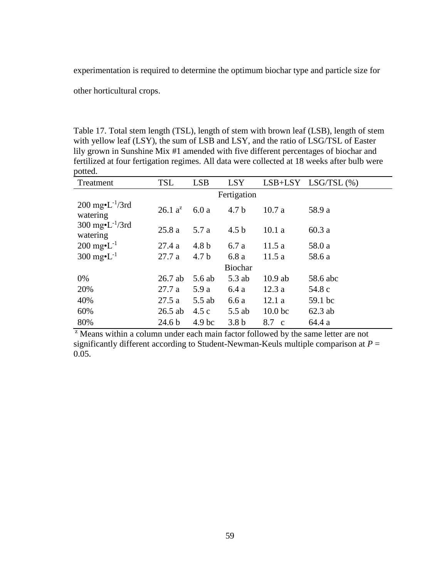experimentation is required to determine the optimum biochar type and particle size for

other horticultural crops.

Table 17. Total stem length (TSL), length of stem with brown leaf (LSB), length of stem with yellow leaf (LSY), the sum of LSB and LSY, and the ratio of LSG/TSL of Easter lily grown in Sunshine Mix #1 amended with five different percentages of biochar and fertilized at four fertigation regimes. All data were collected at 18 weeks after bulb were potted.

| Treatment                                             | <b>TSL</b>        | <b>LSB</b>        | <b>LSY</b>       |                    | $LSB+LSY$ $LSG/TSL(%)$ |  |  |  |  |  |  |
|-------------------------------------------------------|-------------------|-------------------|------------------|--------------------|------------------------|--|--|--|--|--|--|
| Fertigation                                           |                   |                   |                  |                    |                        |  |  |  |  |  |  |
| $200 \text{ mg} \cdot L^{-1}/3 \text{rd}$<br>watering | $26.1 a^2$        | 6.0a              | 4.7 <sub>b</sub> | 10.7a              | 58.9 a                 |  |  |  |  |  |  |
| 300 mg $\cdot L^{-1}/3rd$<br>watering                 | 25.8a             | 5.7 a             | 4.5 <sub>b</sub> | 10.1a              | 60.3a                  |  |  |  |  |  |  |
| $200 \text{ mg} \cdot L^{-1}$                         | 27.4a             | 4.8 <sub>b</sub>  | 6.7 a            | 11.5a              | 58.0 a                 |  |  |  |  |  |  |
| 300 mg $\cdot L^{-1}$                                 | 27.7a             | 4.7 <sub>b</sub>  | 6.8a             | 11.5 a             | 58.6 a                 |  |  |  |  |  |  |
|                                                       |                   |                   | <b>Biochar</b>   |                    |                        |  |  |  |  |  |  |
| $0\%$                                                 | $26.7$ ab         | 5.6 ab            | 5.3 ab           | $10.9$ ab          | 58.6 abc               |  |  |  |  |  |  |
| 20%                                                   | 27.7a             | 5.9a              | 6.4a             | 12.3a              | 54.8 c                 |  |  |  |  |  |  |
| 40%                                                   | 27.5a             | 5.5 ab            | 6.6a             | 12.1a              | 59.1 bc                |  |  |  |  |  |  |
| 60%                                                   | $26.5$ ab         | 4.5c              | $5.5$ ab         | 10.0 <sub>bc</sub> | $62.3$ ab              |  |  |  |  |  |  |
| 80%                                                   | 24.6 <sub>b</sub> | 4.9 <sub>bc</sub> | 3.8 <sub>b</sub> | 8.7 c              | 64.4 a                 |  |  |  |  |  |  |

<sup>z</sup> Means within a column under each main factor followed by the same letter are not significantly different according to Student-Newman-Keuls multiple comparison at  $P =$ 0.05.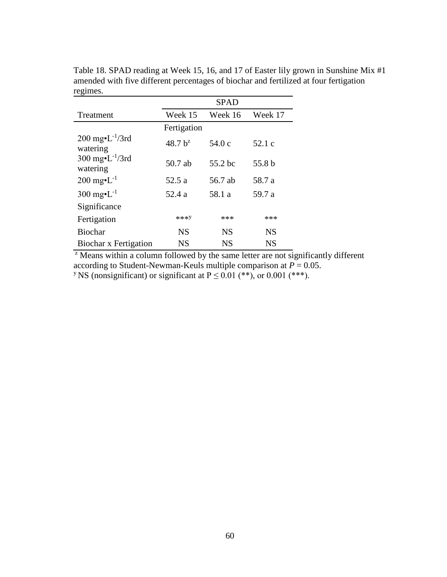|                                                       | <b>SPAD</b> |           |           |
|-------------------------------------------------------|-------------|-----------|-----------|
| Treatment                                             | Week 15     | Week 16   | Week 17   |
|                                                       | Fertigation |           |           |
| $200 \text{ mg} \cdot L^{-1}/3 \text{rd}$<br>watering | $48.7 b^2$  | 54.0 c    | 52.1 c    |
| $300 \text{ mg-L}^{-1}/3 \text{rd}$<br>watering       | 50.7 ab     | 55.2 bc   | 55.8 b    |
| $200 \text{ mg} \cdot L^{-1}$                         | 52.5 a      | 56.7 ab   | 58.7 a    |
| 300 mg $\cdot L^{-1}$                                 | 52.4 a      | 58.1 a    | 59.7 a    |
| Significance                                          |             |           |           |
| Fertigation                                           | ***Y        | ***       | ***       |
| <b>Biochar</b>                                        | <b>NS</b>   | NS        | NS        |
| <b>Biochar x Fertigation</b>                          | <b>NS</b>   | <b>NS</b> | <b>NS</b> |

Table 18. SPAD reading at Week 15, 16, and 17 of Easter lily grown in Sunshine Mix #1 amended with five different percentages of biochar and fertilized at four fertigation regimes.

 $\overline{z}$  Means within a column followed by the same letter are not significantly different according to Student-Newman-Keuls multiple comparison at  $P = 0.05$ . <sup>y</sup> NS (nonsignificant) or significant at  $P \le 0.01$  (\*\*), or 0.001 (\*\*\*).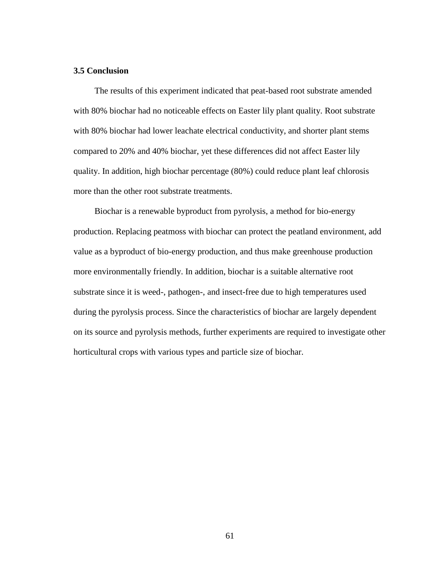## **3.5 Conclusion**

The results of this experiment indicated that peat-based root substrate amended with 80% biochar had no noticeable effects on Easter lily plant quality. Root substrate with 80% biochar had lower leachate electrical conductivity, and shorter plant stems compared to 20% and 40% biochar, yet these differences did not affect Easter lily quality. In addition, high biochar percentage (80%) could reduce plant leaf chlorosis more than the other root substrate treatments.

Biochar is a renewable byproduct from pyrolysis, a method for bio-energy production. Replacing peatmoss with biochar can protect the peatland environment, add value as a byproduct of bio-energy production, and thus make greenhouse production more environmentally friendly. In addition, biochar is a suitable alternative root substrate since it is weed-, pathogen-, and insect-free due to high temperatures used during the pyrolysis process. Since the characteristics of biochar are largely dependent on its source and pyrolysis methods, further experiments are required to investigate other horticultural crops with various types and particle size of biochar.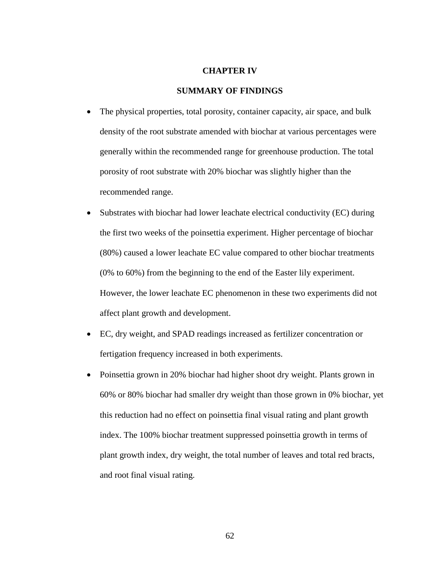#### **CHAPTER IV**

#### **SUMMARY OF FINDINGS**

- The physical properties, total porosity, container capacity, air space, and bulk density of the root substrate amended with biochar at various percentages were generally within the recommended range for greenhouse production. The total porosity of root substrate with 20% biochar was slightly higher than the recommended range.
- Substrates with biochar had lower leachate electrical conductivity (EC) during the first two weeks of the poinsettia experiment. Higher percentage of biochar (80%) caused a lower leachate EC value compared to other biochar treatments (0% to 60%) from the beginning to the end of the Easter lily experiment. However, the lower leachate EC phenomenon in these two experiments did not affect plant growth and development.
- EC, dry weight, and SPAD readings increased as fertilizer concentration or fertigation frequency increased in both experiments.
- Poinsettia grown in 20% biochar had higher shoot dry weight. Plants grown in 60% or 80% biochar had smaller dry weight than those grown in 0% biochar, yet this reduction had no effect on poinsettia final visual rating and plant growth index. The 100% biochar treatment suppressed poinsettia growth in terms of plant growth index, dry weight, the total number of leaves and total red bracts, and root final visual rating.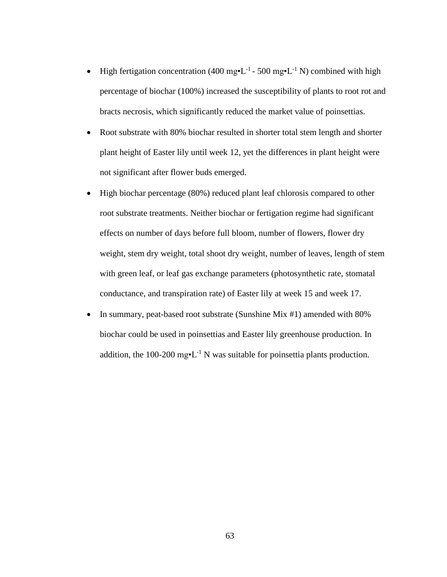- High fertigation concentration (400 mg•L<sup>-1</sup> 500 mg•L<sup>-1</sup> N) combined with high percentage of biochar (100%) increased the susceptibility of plants to root rot and bracts necrosis, which significantly reduced the market value of poinsettias.
- Root substrate with 80% biochar resulted in shorter total stem length and shorter plant height of Easter lily until week 12, yet the differences in plant height were not significant after flower buds emerged.
- $\bullet$  High biochar percentage (80%) reduced plant leaf chlorosis compared to other root substrate treatments. Neither biochar or fertigation regime had significant effects on number of days before full bloom, number of flowers, flower dry weight, stem dry weight, total shoot dry weight, number of leaves, length of stem with green leaf, or leaf gas exchange parameters (photosynthetic rate, stomatal conductance, and transpiration rate) of Easter lily at week 15 and week 17.
- In summary, peat-based root substrate (Sunshine Mix #1) amended with 80% biochar could be used in poinsettias and Easter lily greenhouse production. In addition, the 100-200 mg•L<sup>-1</sup> N was suitable for poinsettia plants production.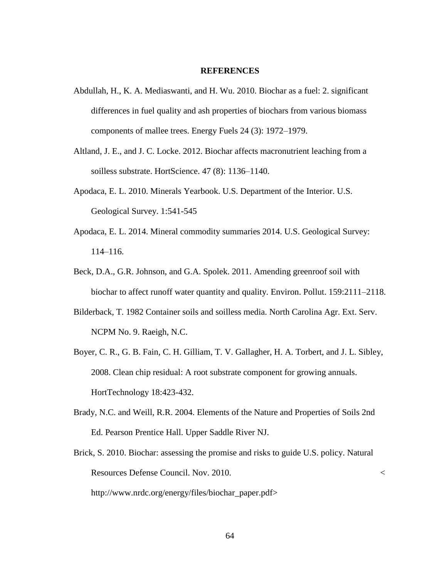## **REFERENCES**

- Abdullah, H., K. A. Mediaswanti, and H. Wu. 2010. Biochar as a fuel: 2. significant differences in fuel quality and ash properties of biochars from various biomass components of mallee trees. Energy Fuels 24 (3): 1972–1979.
- Altland, J. E., and J. C. Locke. 2012. Biochar affects macronutrient leaching from a soilless substrate. HortScience. 47 (8): 1136–1140.
- Apodaca, E. L. 2010. Minerals Yearbook. U.S. Department of the Interior. U.S. Geological Survey. 1:541-545
- Apodaca, E. L. 2014. Mineral commodity summaries 2014. U.S. Geological Survey: 114–116.
- Beck, D.A., G.R. Johnson, and G.A. Spolek. 2011. Amending greenroof soil with biochar to affect runoff water quantity and quality. Environ. Pollut. 159:2111–2118.
- Bilderback, T. 1982 Container soils and soilless media. North Carolina Agr. Ext. Serv. NCPM No. 9. Raeigh, N.C.
- Boyer, C. R., G. B. Fain, C. H. Gilliam, T. V. Gallagher, H. A. Torbert, and J. L. Sibley, 2008. Clean chip residual: A root substrate component for growing annuals. HortTechnology 18:423-432.
- Brady, N.C. and Weill, R.R. 2004. Elements of the Nature and Properties of Soils 2nd Ed. Pearson Prentice Hall. Upper Saddle River NJ.
- Brick, S. 2010. Biochar: assessing the promise and risks to guide U.S. policy. Natural Resources Defense Council. Nov. 2010. < http://www.nrdc.org/energy/files/biochar\_paper.pdf>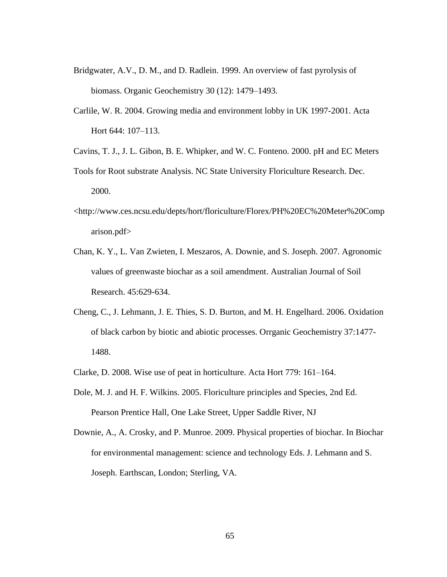- Bridgwater, A.V., D. M., and D. Radlein. 1999. An overview of fast pyrolysis of biomass. Organic Geochemistry 30 (12): 1479–1493.
- Carlile, W. R. 2004. Growing media and environment lobby in UK 1997-2001. Acta Hort 644: 107–113.
- Cavins, T. J., J. L. Gibon, B. E. Whipker, and W. C. Fonteno. 2000. pH and EC Meters
- Tools for Root substrate Analysis. NC State University Floriculture Research. Dec. 2000.
- <http://www.ces.ncsu.edu/depts/hort/floriculture/Florex/PH%20EC%20Meter%20Comp arison.pdf>
- Chan, K. Y., L. Van Zwieten, I. Meszaros, A. Downie, and S. Joseph. 2007. Agronomic values of greenwaste biochar as a soil amendment. Australian Journal of Soil Research. 45:629-634.
- Cheng, C., J. Lehmann, J. E. Thies, S. D. Burton, and M. H. Engelhard. 2006. Oxidation of black carbon by biotic and abiotic processes. Orrganic Geochemistry 37:1477- 1488.
- Clarke, D. 2008. Wise use of peat in horticulture. Acta Hort 779: 161–164.
- Dole, M. J. and H. F. Wilkins. 2005. Floriculture principles and Species, 2nd Ed. Pearson Prentice Hall, One Lake Street, Upper Saddle River, NJ
- Downie, A., A. Crosky, and P. Munroe. 2009. Physical properties of biochar. In Biochar for environmental management: science and technology Eds. J. Lehmann and S. Joseph. Earthscan, London; Sterling, VA.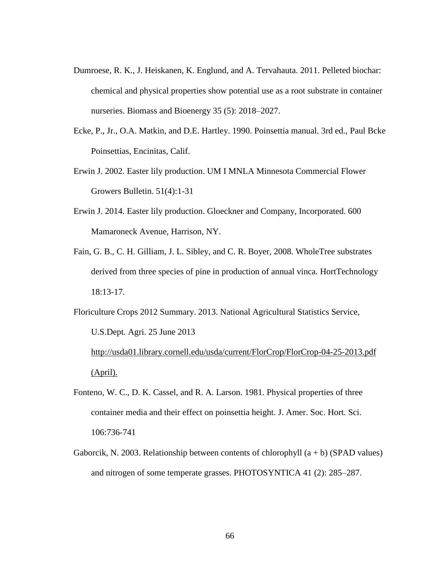- Dumroese, R. K., J. Heiskanen, K. Englund, and A. Tervahauta. 2011. Pelleted biochar: chemical and physical properties show potential use as a root substrate in container nurseries. Biomass and Bioenergy 35 (5): 2018–2027.
- Ecke, P., Jr., O.A. Matkin, and D.E. Hartley. 1990. Poinsettia manual. 3rd ed., Paul Bcke Poinsettias, Encinitas, Calif.
- Erwin J. 2002. Easter lily production. UM I MNLA Minnesota Commercial Flower Growers Bulletin. 51(4):1-31
- Erwin J. 2014. Easter lily production. Gloeckner and Company, Incorporated. 600 Mamaroneck Avenue, Harrison, NY.
- Fain, G. B., C. H. Gilliam, J. L. Sibley, and C. R. Boyer, 2008. WholeTree substrates derived from three species of pine in production of annual vinca. HortTechnology 18:13-17.

Floriculture Crops 2012 Summary. 2013. National Agricultural Statistics Service, U.S.Dept. Agri. 25 June 2013

[http://usda01.library.cornell.edu/usda/current/FlorCrop/FlorCrop-04-25-2013.pdf](http://usda01.library.cornell.edu/usda/current/FlorCrop/FlorCrop-04-25-2013.pdf%20(April).)  [\(April\).](http://usda01.library.cornell.edu/usda/current/FlorCrop/FlorCrop-04-25-2013.pdf%20(April).)

- Fonteno, W. C., D. K. Cassel, and R. A. Larson. 1981. Physical properties of three container media and their effect on poinsettia height. J. Amer. Soc. Hort. Sci. 106:736-741
- Gaborcik, N. 2003. Relationship between contents of chlorophyll  $(a + b)$  (SPAD values) and nitrogen of some temperate grasses. PHOTOSYNTICA 41 (2): 285–287.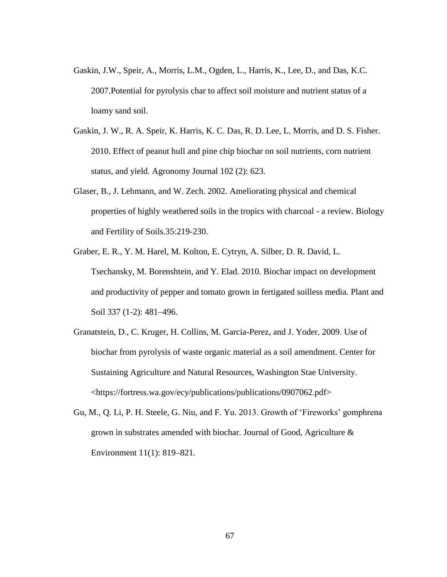- Gaskin, J.W., Speir, A., Morris, L.M., Ogden, L., Harris, K., Lee, D., and Das, K.C. 2007.Potential for pyrolysis char to affect soil moisture and nutrient status of a loamy sand soil.
- Gaskin, J. W., R. A. Speir, K. Harris, K. C. Das, R. D. Lee, L. Morris, and D. S. Fisher. 2010. Effect of peanut hull and pine chip biochar on soil nutrients, corn nutrient status, and yield. Agronomy Journal 102 (2): 623.
- Glaser, B., J. Lehmann, and W. Zech. 2002. Ameliorating physical and chemical properties of highly weathered soils in the tropics with charcoal - a review. Biology and Fertility of Soils.35:219-230.
- Graber, E. R., Y. M. Harel, M. Kolton, E. Cytryn, A. Silber, D. R. David, L. Tsechansky, M. Borenshtein, and Y. Elad. 2010. Biochar impact on development and productivity of pepper and tomato grown in fertigated soilless media. Plant and Soil 337 (1-2): 481–496.
- Granatstein, D., C. Kruger, H. Collins, M. Garcia-Perez, and J. Yoder. 2009. Use of biochar from pyrolysis of waste organic material as a soil amendment. Center for Sustaining Agriculture and Natural Resources, Washington Stae University. <https://fortress.wa.gov/ecy/publications/publications/0907062.pdf>
- Gu, M., Q. Li, P. H. Steele, G. Niu, and F. Yu. 2013. Growth of 'Fireworks' gomphrena grown in substrates amended with biochar. Journal of Good, Agriculture & Environment 11(1): 819–821.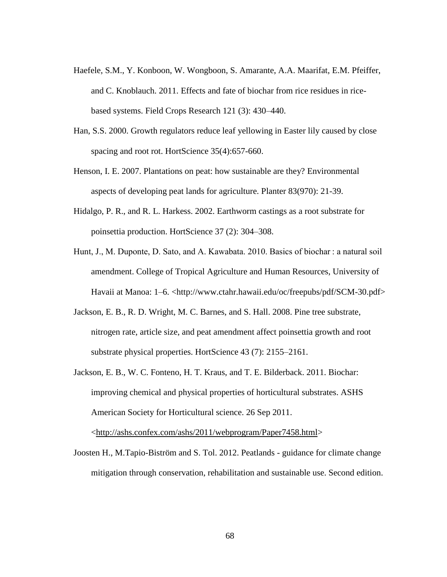- Haefele, S.M., Y. Konboon, W. Wongboon, S. Amarante, A.A. Maarifat, E.M. Pfeiffer, and C. Knoblauch. 2011. Effects and fate of biochar from rice residues in ricebased systems. Field Crops Research 121 (3): 430–440.
- Han, S.S. 2000. Growth regulators reduce leaf yellowing in Easter lily caused by close spacing and root rot. HortScience 35(4):657-660.
- Henson, I. E. 2007. Plantations on peat: how sustainable are they? Environmental aspects of developing peat lands for agriculture. Planter 83(970): 21-39.
- Hidalgo, P. R., and R. L. Harkess. 2002. Earthworm castings as a root substrate for poinsettia production. HortScience 37 (2): 304–308.
- Hunt, J., M. Duponte, D. Sato, and A. Kawabata. 2010. Basics of biochar : a natural soil amendment. College of Tropical Agriculture and Human Resources, University of Havaii at Manoa: 1–6. <http://www.ctahr.hawaii.edu/oc/freepubs/pdf/SCM-30.pdf>
- Jackson, E. B., R. D. Wright, M. C. Barnes, and S. Hall. 2008. Pine tree substrate, nitrogen rate, article size, and peat amendment affect poinsettia growth and root substrate physical properties. HortScience 43 (7): 2155–2161.
- Jackson, E. B., W. C. Fonteno, H. T. Kraus, and T. E. Bilderback. 2011. Biochar: improving chemical and physical properties of horticultural substrates. ASHS American Society for Horticultural science. 26 Sep 2011.

[<http://ashs.confex.com/ashs/2011/webprogram/Paper7458.html>](http://ashs.confex.com/ashs/2011/webprogram/Paper7458.html)

Joosten H., M.Tapio-Biström and S. Tol. 2012. Peatlands - guidance for climate change mitigation through conservation, rehabilitation and sustainable use. Second edition.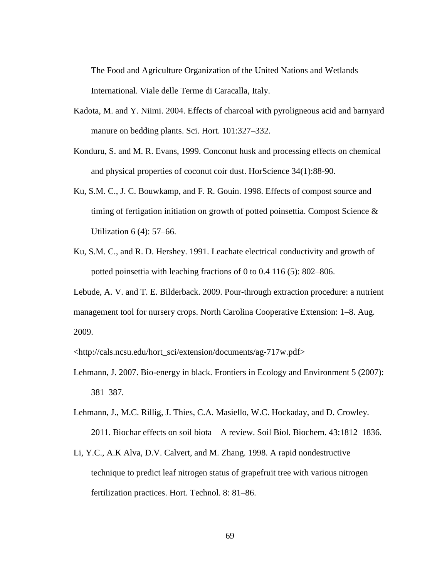The Food and Agriculture Organization of the United Nations and Wetlands International. Viale delle Terme di Caracalla, Italy.

- Kadota, M. and Y. Niimi. 2004. Effects of charcoal with pyroligneous acid and barnyard manure on bedding plants. Sci. Hort. 101:327–332.
- Konduru, S. and M. R. Evans, 1999. Conconut husk and processing effects on chemical and physical properties of coconut coir dust. HorScience 34(1):88-90.
- Ku, S.M. C., J. C. Bouwkamp, and F. R. Gouin. 1998. Effects of compost source and timing of fertigation initiation on growth of potted poinsettia. Compost Science  $\&$ Utilization 6 (4): 57–66.
- Ku, S.M. C., and R. D. Hershey. 1991. Leachate electrical conductivity and growth of potted poinsettia with leaching fractions of 0 to 0.4 116 (5): 802–806.

Lebude, A. V. and T. E. Bilderback. 2009. Pour-through extraction procedure: a nutrient management tool for nursery crops. North Carolina Cooperative Extension: 1–8. Aug. 2009.

<http://cals.ncsu.edu/hort\_sci/extension/documents/ag-717w.pdf>

- Lehmann, J. 2007. Bio-energy in black. Frontiers in Ecology and Environment 5 (2007): 381–387.
- Lehmann, J., M.C. Rillig, J. Thies, C.A. Masiello, W.C. Hockaday, and D. Crowley. 2011. Biochar effects on soil biota—A review. Soil Biol. Biochem. 43:1812–1836.
- Li, Y.C., A.K Alva, D.V. Calvert, and M. Zhang. 1998. A rapid nondestructive technique to predict leaf nitrogen status of grapefruit tree with various nitrogen fertilization practices. Hort. Technol. 8: 81–86.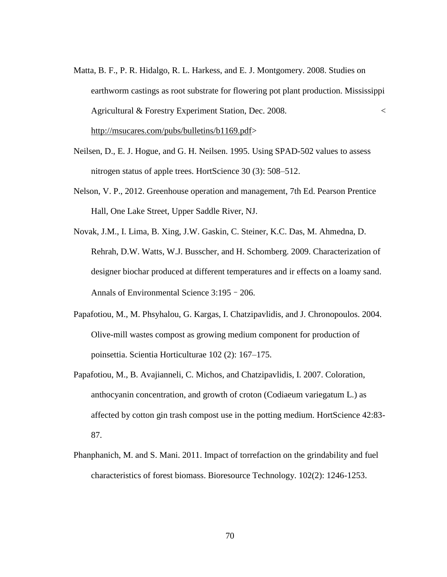- Matta, B. F., P. R. Hidalgo, R. L. Harkess, and E. J. Montgomery. 2008. Studies on earthworm castings as root substrate for flowering pot plant production. Mississippi Agricultural & Forestry Experiment Station, Dec. 2008. < [http://msucares.com/pubs/bulletins/b1169.pdf>](http://msucares.com/pubs/bulletins/b1169.pdf)
- Neilsen, D., E. J. Hogue, and G. H. Neilsen. 1995. Using SPAD-502 values to assess nitrogen status of apple trees. HortScience 30 (3): 508–512.
- Nelson, V. P., 2012. Greenhouse operation and management, 7th Ed. Pearson Prentice Hall, One Lake Street, Upper Saddle River, NJ.

Novak, J.M., I. Lima, B. Xing, J.W. Gaskin, C. Steiner, K.C. Das, M. Ahmedna, D. Rehrah, D.W. Watts, W.J. Busscher, and H. Schomberg. 2009. Characterization of designer biochar produced at different temperatures and ir effects on a loamy sand. Annals of Environmental Science 3:195–206.

- Papafotiou, M., M. Phsyhalou, G. Kargas, I. Chatzipavlidis, and J. Chronopoulos. 2004. Olive-mill wastes compost as growing medium component for production of poinsettia. Scientia Horticulturae 102 (2): 167–175.
- Papafotiou, M., B. Avajianneli, C. Michos, and Chatzipavlidis, I. 2007. Coloration, anthocyanin concentration, and growth of croton (Codiaeum variegatum L.) as affected by cotton gin trash compost use in the potting medium. HortScience 42:83- 87.
- Phanphanich, M. and S. Mani. 2011. Impact of torrefaction on the grindability and fuel characteristics of forest biomass. Bioresource Technology. 102(2): 1246-1253.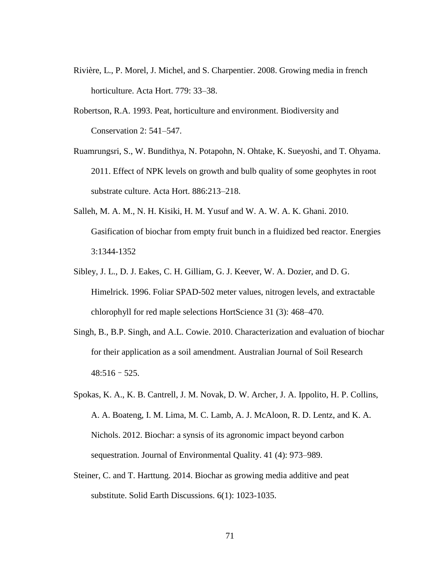- Rivière, L., P. Morel, J. Michel, and S. Charpentier. 2008. Growing media in french horticulture. Acta Hort. 779: 33–38.
- Robertson, R.A. 1993. Peat, horticulture and environment. Biodiversity and Conservation 2: 541–547.
- Ruamrungsri, S., W. Bundithya, N. Potapohn, N. Ohtake, K. Sueyoshi, and T. Ohyama. 2011. Effect of NPK levels on growth and bulb quality of some geophytes in root substrate culture. Acta Hort. 886:213–218.
- Salleh, M. A. M., N. H. Kisiki, H. M. Yusuf and W. A. W. A. K. Ghani. 2010. Gasification of biochar from empty fruit bunch in a fluidized bed reactor. Energies 3:1344-1352
- Sibley, J. L., D. J. Eakes, C. H. Gilliam, G. J. Keever, W. A. Dozier, and D. G. Himelrick. 1996. Foliar SPAD-502 meter values, nitrogen levels, and extractable chlorophyll for red maple selections HortScience 31 (3): 468–470.
- Singh, B., B.P. Singh, and A.L. Cowie. 2010. Characterization and evaluation of biochar for their application as a soil amendment. Australian Journal of Soil Research  $48:516 - 525$ .
- Spokas, K. A., K. B. Cantrell, J. M. Novak, D. W. Archer, J. A. Ippolito, H. P. Collins, A. A. Boateng, I. M. Lima, M. C. Lamb, A. J. McAloon, R. D. Lentz, and K. A. Nichols. 2012. Biochar: a synsis of its agronomic impact beyond carbon sequestration. Journal of Environmental Quality. 41 (4): 973–989.
- Steiner, C. and T. Harttung. 2014. Biochar as growing media additive and peat substitute. Solid Earth Discussions. 6(1): 1023-1035.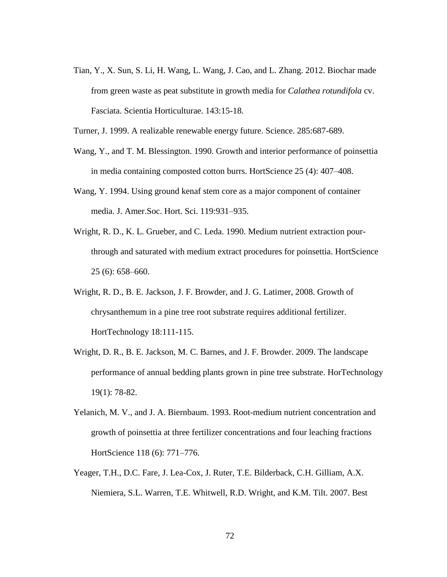- Tian, Y., X. Sun, S. Li, H. Wang, L. Wang, J. Cao, and L. Zhang. 2012. Biochar made from green waste as peat substitute in growth media for *Calathea rotundifola* cv. Fasciata. Scientia Horticulturae. 143:15-18.
- Turner, J. 1999. A realizable renewable energy future. Science. 285:687-689.
- Wang, Y., and T. M. Blessington. 1990. Growth and interior performance of poinsettia in media containing composted cotton burrs. HortScience 25 (4): 407–408.
- Wang, Y. 1994. Using ground kenaf stem core as a major component of container media. J. Amer.Soc. Hort. Sci. 119:931–935.
- Wright, R. D., K. L. Grueber, and C. Leda. 1990. Medium nutrient extraction pourthrough and saturated with medium extract procedures for poinsettia. HortScience 25 (6): 658–660.
- Wright, R. D., B. E. Jackson, J. F. Browder, and J. G. Latimer, 2008. Growth of chrysanthemum in a pine tree root substrate requires additional fertilizer. HortTechnology 18:111-115.
- Wright, D. R., B. E. Jackson, M. C. Barnes, and J. F. Browder. 2009. The landscape performance of annual bedding plants grown in pine tree substrate. HorTechnology 19(1): 78-82.
- Yelanich, M. V., and J. A. Biernbaum. 1993. Root-medium nutrient concentration and growth of poinsettia at three fertilizer concentrations and four leaching fractions HortScience 118 (6): 771–776.
- Yeager, T.H., D.C. Fare, J. Lea-Cox, J. Ruter, T.E. Bilderback, C.H. Gilliam, A.X. Niemiera, S.L. Warren, T.E. Whitwell, R.D. Wright, and K.M. Tilt. 2007. Best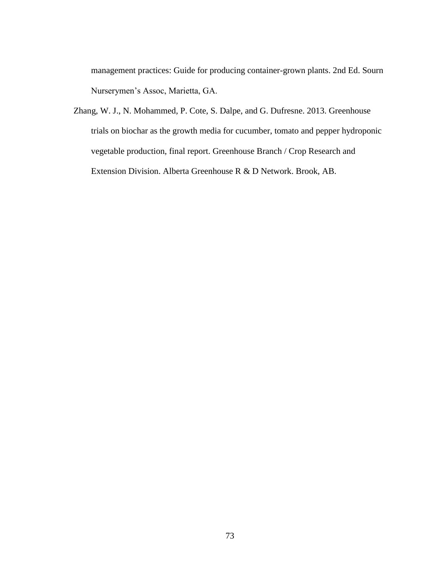management practices: Guide for producing container-grown plants. 2nd Ed. Sourn Nurserymen's Assoc, Marietta, GA.

Zhang, W. J., N. Mohammed, P. Cote, S. Dalpe, and G. Dufresne. 2013. Greenhouse trials on biochar as the growth media for cucumber, tomato and pepper hydroponic vegetable production, final report. Greenhouse Branch / Crop Research and Extension Division. Alberta Greenhouse R & D Network. Brook, AB.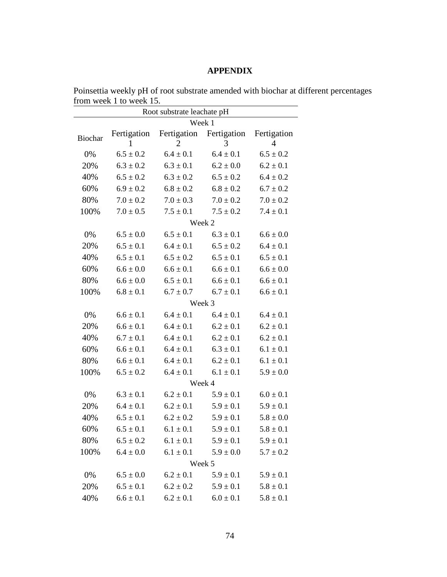## **APPENDIX**

| Root substrate leachate pH |                  |                  |                  |                  |  |  |  |
|----------------------------|------------------|------------------|------------------|------------------|--|--|--|
|                            | Week 1           |                  |                  |                  |  |  |  |
| Biochar                    | Fertigation<br>1 | Fertigation<br>2 | Fertigation<br>3 | Fertigation<br>4 |  |  |  |
| 0%                         | $6.5 \pm 0.2$    | $6.4 \pm 0.1$    | $6.4 \pm 0.1$    | $6.5 \pm 0.2$    |  |  |  |
| 20%                        | $6.3 \pm 0.2$    | $6.3 \pm 0.1$    | $6.2 \pm 0.0$    | $6.2 \pm 0.1$    |  |  |  |
| 40%                        | $6.5 \pm 0.2$    | $6.3 \pm 0.2$    | $6.5 \pm 0.2$    | $6.4 \pm 0.2$    |  |  |  |
| 60%                        | $6.9 \pm 0.2$    | $6.8 \pm 0.2$    | $6.8 \pm 0.2$    | $6.7 \pm 0.2$    |  |  |  |
| 80%                        | $7.0 \pm 0.2$    | $7.0 \pm 0.3$    | $7.0 \pm 0.2$    | $7.0 \pm 0.2$    |  |  |  |
| 100%                       | $7.0 \pm 0.5$    | $7.5 \pm 0.1$    | $7.5 \pm 0.2$    | $7.4 \pm 0.1$    |  |  |  |
|                            | Week 2           |                  |                  |                  |  |  |  |
| 0%                         | $6.5 \pm 0.0$    | $6.5 \pm 0.1$    | $6.3 \pm 0.1$    | $6.6 \pm 0.0$    |  |  |  |
| 20%                        | $6.5 \pm 0.1$    | $6.4 \pm 0.1$    | $6.5 \pm 0.2$    | $6.4 \pm 0.1$    |  |  |  |
| 40%                        | $6.5 \pm 0.1$    | $6.5 \pm 0.2$    | $6.5 \pm 0.1$    | $6.5 \pm 0.1$    |  |  |  |
| 60%                        | $6.6 \pm 0.0$    | $6.6 \pm 0.1$    | $6.6 \pm 0.1$    | $6.6 \pm 0.0$    |  |  |  |
| 80%                        | $6.6 \pm 0.0$    | $6.5 \pm 0.1$    | $6.6 \pm 0.1$    | $6.6 \pm 0.1$    |  |  |  |
| 100%                       | $6.8 \pm 0.1$    | $6.7 \pm 0.7$    | $6.7 \pm 0.1$    | $6.6 \pm 0.1$    |  |  |  |
|                            | Week 3           |                  |                  |                  |  |  |  |
| 0%                         | $6.6 \pm 0.1$    | $6.4 \pm 0.1$    | $6.4 \pm 0.1$    | $6.4 \pm 0.1$    |  |  |  |
| 20%                        | $6.6 \pm 0.1$    | $6.4 \pm 0.1$    | $6.2 \pm 0.1$    | $6.2 \pm 0.1$    |  |  |  |
| 40%                        | $6.7 \pm 0.1$    | $6.4 \pm 0.1$    | $6.2 \pm 0.1$    | $6.2 \pm 0.1$    |  |  |  |
| 60%                        | $6.6 \pm 0.1$    | $6.4 \pm 0.1$    | $6.3 \pm 0.1$    | $6.1 \pm 0.1$    |  |  |  |
| 80%                        | $6.6 \pm 0.1$    | $6.4 \pm 0.1$    | $6.2 \pm 0.1$    | $6.1 \pm 0.1$    |  |  |  |
| 100%                       | $6.5 \pm 0.2$    | $6.4 \pm 0.1$    | $6.1 \pm 0.1$    | $5.9 \pm 0.0$    |  |  |  |
|                            | Week 4           |                  |                  |                  |  |  |  |
| 0%                         | $6.3 \pm 0.1$    | $6.2 \pm 0.1$    | $5.9 \pm 0.1$    | $6.0 \pm 0.1$    |  |  |  |
| 20%                        | $6.4 \pm 0.1$    | $6.2 \pm 0.1$    | $5.9 \pm 0.1$    | $5.9 \pm 0.1$    |  |  |  |
| 40%                        | $6.5 \pm 0.1$    | $6.2 \pm 0.2$    | $5.9 \pm 0.1$    | $5.8 \pm 0.0$    |  |  |  |
| 60%                        | $6.5 \pm 0.1$    | $6.1 \pm 0.1$    | $5.9 \pm 0.1$    | $5.8 \pm 0.1$    |  |  |  |
| 80%                        | $6.5 \pm 0.2$    | $6.1 \pm 0.1$    | $5.9 \pm 0.1$    | $5.9 \pm 0.1$    |  |  |  |
| 100%                       | $6.4 \pm 0.0$    | $6.1 \pm 0.1$    | $5.9 \pm 0.0$    | $5.7 \pm 0.2$    |  |  |  |
|                            | Week 5           |                  |                  |                  |  |  |  |
| 0%                         | $6.5 \pm 0.0$    | $6.2 \pm 0.1$    | $5.9 \pm 0.1$    | $5.9 \pm 0.1$    |  |  |  |
| 20%                        | $6.5 \pm 0.1$    | $6.2 \pm 0.2$    | $5.9 \pm 0.1$    | $5.8 \pm 0.1$    |  |  |  |
| 40%                        | $6.6 \pm 0.1$    | $6.2 \pm 0.1$    | $6.0 \pm 0.1$    | $5.8 \pm 0.1$    |  |  |  |

Poinsettia weekly pH of root substrate amended with biochar at different percentages from week 1 to week 15.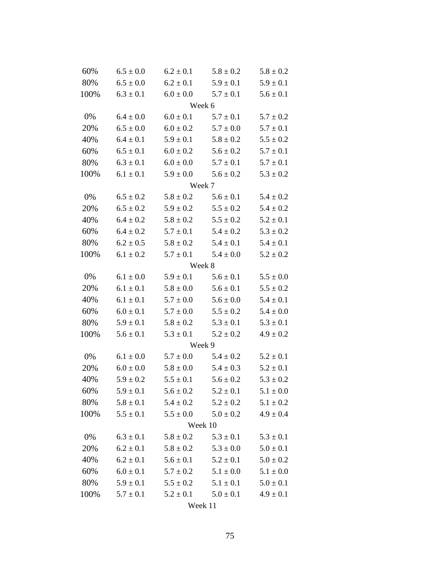| 60%  | $6.5 \pm 0.0$ | $6.2 \pm 0.1$ | $5.8 \pm 0.2$               | $5.8 \pm 0.2$ |  |  |  |
|------|---------------|---------------|-----------------------------|---------------|--|--|--|
| 80%  | $6.5 \pm 0.0$ | $6.2 \pm 0.1$ | $5.9 \pm 0.1$               | $5.9 \pm 0.1$ |  |  |  |
| 100% | $6.3 \pm 0.1$ | $6.0 \pm 0.0$ | $5.7 \pm 0.1$               | $5.6 \pm 0.1$ |  |  |  |
|      | Week 6        |               |                             |               |  |  |  |
| 0%   | $6.4 \pm 0.0$ | $6.0 \pm 0.1$ | $5.7 \pm 0.1$               | $5.7 \pm 0.2$ |  |  |  |
| 20%  | $6.5 \pm 0.0$ | $6.0 \pm 0.2$ | $5.7 \pm 0.0$               | $5.7 \pm 0.1$ |  |  |  |
| 40%  | $6.4 \pm 0.1$ | $5.9 \pm 0.1$ | $5.8 \pm 0.2$               | $5.5 \pm 0.2$ |  |  |  |
| 60%  | $6.5 \pm 0.1$ | $6.0 \pm 0.2$ | $5.6 \pm 0.2$               | $5.7 \pm 0.1$ |  |  |  |
| 80%  | $6.3 \pm 0.1$ | $6.0 \pm 0.0$ | $5.7 \pm 0.1$               | $5.7 \pm 0.1$ |  |  |  |
| 100% | $6.1 \pm 0.1$ | $5.9 \pm 0.0$ | $5.6 \pm 0.2$               | $5.3 \pm 0.2$ |  |  |  |
|      | Week 7        |               |                             |               |  |  |  |
| 0%   | $6.5 \pm 0.2$ | $5.8 \pm 0.2$ | $5.6 \pm 0.1$               | $5.4 \pm 0.2$ |  |  |  |
| 20%  | $6.5 \pm 0.2$ | $5.9 \pm 0.2$ | $5.5 \pm 0.2$               | $5.4 \pm 0.2$ |  |  |  |
| 40%  | $6.4 \pm 0.2$ | $5.8 \pm 0.2$ | $5.5 \pm 0.2$               | $5.2 \pm 0.1$ |  |  |  |
| 60%  | $6.4 \pm 0.2$ | $5.7 \pm 0.1$ | $5.4 \pm 0.2$               | $5.3 \pm 0.2$ |  |  |  |
| 80%  | $6.2 \pm 0.5$ | $5.8 \pm 0.2$ | $5.4 \pm 0.1$               | $5.4 \pm 0.1$ |  |  |  |
| 100% | $6.1 \pm 0.2$ | $5.7 \pm 0.1$ | $5.4 \pm 0.0$               | $5.2 \pm 0.2$ |  |  |  |
|      | Week 8        |               |                             |               |  |  |  |
| 0%   | $6.1\pm0.0$   | $5.9 \pm 0.1$ | $5.6 \pm 0.1$               | $5.5 \pm 0.0$ |  |  |  |
| 20%  | $6.1 \pm 0.1$ | $5.8 \pm 0.0$ | $5.6 \pm 0.1$               | $5.5 \pm 0.2$ |  |  |  |
| 40%  | $6.1 \pm 0.1$ | $5.7 \pm 0.0$ | $5.6 \pm 0.0$               | $5.4 \pm 0.1$ |  |  |  |
| 60%  | $6.0 \pm 0.1$ | $5.7 \pm 0.0$ | $5.5 \pm 0.2$               | $5.4 \pm 0.0$ |  |  |  |
| 80%  | $5.9 \pm 0.1$ | $5.8 \pm 0.2$ | $5.3 \pm 0.1$               | $5.3 \pm 0.1$ |  |  |  |
| 100% | $5.6 \pm 0.1$ | $5.3 \pm 0.1$ | $5.2 \pm 0.2$               | $4.9 \pm 0.2$ |  |  |  |
|      | Week 9        |               |                             |               |  |  |  |
| 0%   | $6.1 \pm 0.0$ | $5.7 \pm 0.0$ | $5.4 \pm 0.2$               | $5.2 \pm 0.1$ |  |  |  |
| 20%  | $6.0 \pm 0.0$ | $5.8 \pm 0.0$ | $5.4 \pm 0.3$               | $5.2 \pm 0.1$ |  |  |  |
| 40%  | $5.9 \pm 0.2$ | $5.5 \pm 0.1$ | $5.6 \pm 0.2$               | $5.3 \pm 0.2$ |  |  |  |
| 60%  | $5.9 \pm 0.1$ | $5.6 \pm 0.2$ | $5.2 \pm 0.1$               | $5.1 \pm 0.0$ |  |  |  |
| 80%  | $5.8 \pm 0.1$ |               | $5.4 \pm 0.2$ $5.2 \pm 0.2$ | $5.1 \pm 0.2$ |  |  |  |
| 100% | $5.5 \pm 0.1$ |               | $5.5 \pm 0.0$ $5.0 \pm 0.2$ | $4.9 \pm 0.4$ |  |  |  |
|      |               |               | Week 10                     |               |  |  |  |
| 0%   | $6.3 \pm 0.1$ | $5.8 \pm 0.2$ | $5.3 \pm 0.1$               | $5.3 \pm 0.1$ |  |  |  |
| 20%  | $6.2 \pm 0.1$ | $5.8 \pm 0.2$ | $5.3 \pm 0.0$               | $5.0 \pm 0.1$ |  |  |  |
| 40%  | $6.2 \pm 0.1$ | $5.6 \pm 0.1$ | $5.2 \pm 0.1$               | $5.0 \pm 0.2$ |  |  |  |
| 60%  | $6.0 \pm 0.1$ | $5.7 \pm 0.2$ | $5.1 \pm 0.0$               | $5.1 \pm 0.0$ |  |  |  |
| 80%  | $5.9 \pm 0.1$ | $5.5 \pm 0.2$ | $5.1 \pm 0.1$               | $5.0 \pm 0.1$ |  |  |  |
| 100% | $5.7 \pm 0.1$ |               | $5.2 \pm 0.1$ $5.0 \pm 0.1$ | $4.9 \pm 0.1$ |  |  |  |
|      | Week 11       |               |                             |               |  |  |  |